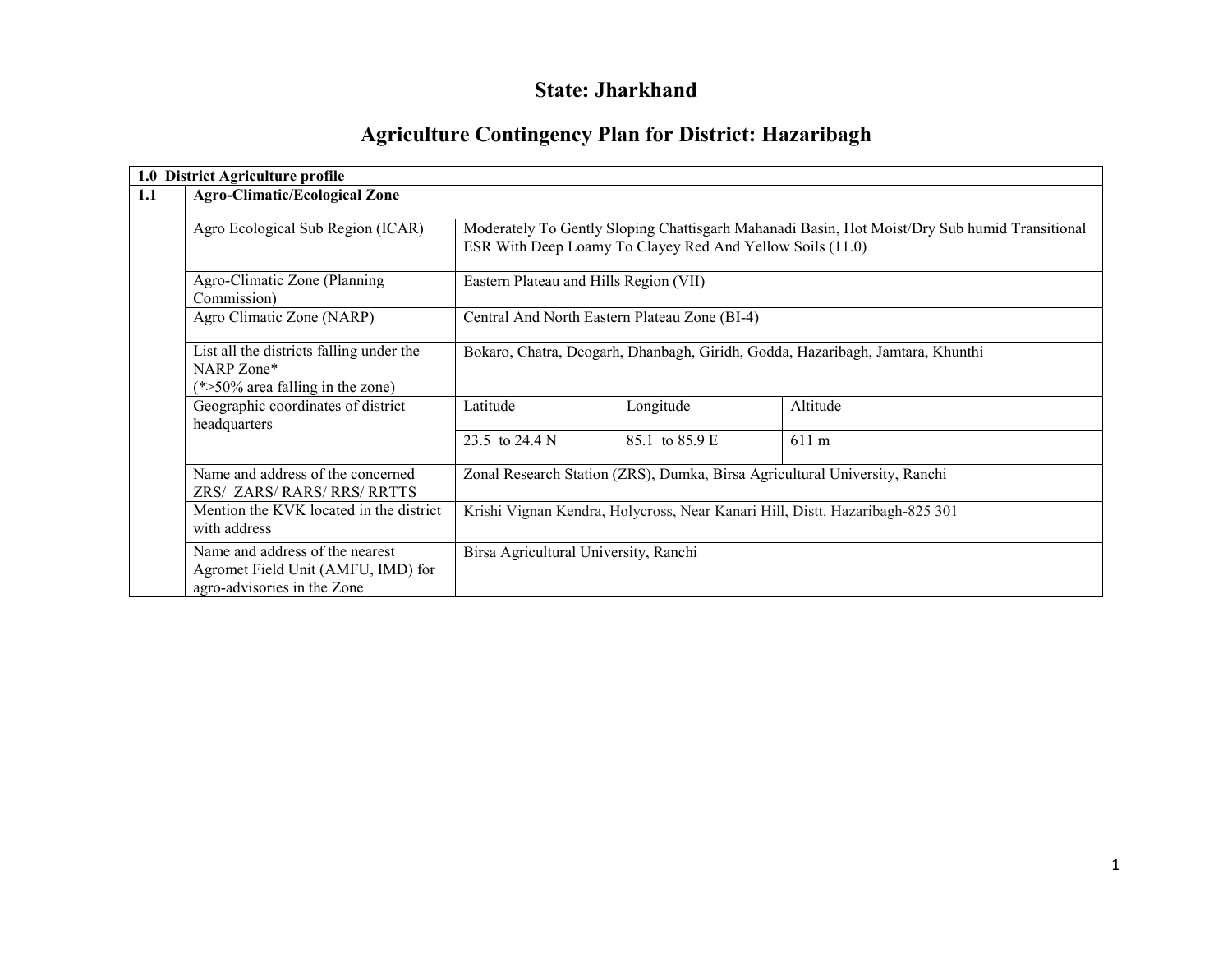# State: Jharkhand

# Agriculture Contingency Plan for District: Hazaribagh

|     | 1.0 District Agriculture profile                                                                     |                                                                                |                                                           |                                                                                               |  |  |  |
|-----|------------------------------------------------------------------------------------------------------|--------------------------------------------------------------------------------|-----------------------------------------------------------|-----------------------------------------------------------------------------------------------|--|--|--|
| 1.1 | <b>Agro-Climatic/Ecological Zone</b>                                                                 |                                                                                |                                                           |                                                                                               |  |  |  |
|     | Agro Ecological Sub Region (ICAR)                                                                    |                                                                                | ESR With Deep Loamy To Clayey Red And Yellow Soils (11.0) | Moderately To Gently Sloping Chattisgarh Mahanadi Basin, Hot Moist/Dry Sub humid Transitional |  |  |  |
|     | Agro-Climatic Zone (Planning<br>Commission)                                                          |                                                                                | Eastern Plateau and Hills Region (VII)                    |                                                                                               |  |  |  |
|     | Agro Climatic Zone (NARP)                                                                            | Central And North Eastern Plateau Zone (BI-4)                                  |                                                           |                                                                                               |  |  |  |
|     | List all the districts falling under the<br>NARP Zone*<br>$(*>50\%$ area falling in the zone)        | Bokaro, Chatra, Deogarh, Dhanbagh, Giridh, Godda, Hazaribagh, Jamtara, Khunthi |                                                           |                                                                                               |  |  |  |
|     | Geographic coordinates of district<br>headquarters                                                   | Latitude                                                                       | Longitude                                                 | Altitude                                                                                      |  |  |  |
|     |                                                                                                      | 23.5 to 24.4 N                                                                 | 85.1 to 85.9 E                                            | $611 \text{ m}$                                                                               |  |  |  |
|     | Name and address of the concerned<br>ZRS/ ZARS/ RARS/ RRS/ RRTTS                                     |                                                                                |                                                           | Zonal Research Station (ZRS), Dumka, Birsa Agricultural University, Ranchi                    |  |  |  |
|     | Mention the KVK located in the district<br>with address                                              | Krishi Vignan Kendra, Holycross, Near Kanari Hill, Distt. Hazaribagh-825 301   |                                                           |                                                                                               |  |  |  |
|     | Name and address of the nearest<br>Agromet Field Unit (AMFU, IMD) for<br>agro-advisories in the Zone | Birsa Agricultural University, Ranchi                                          |                                                           |                                                                                               |  |  |  |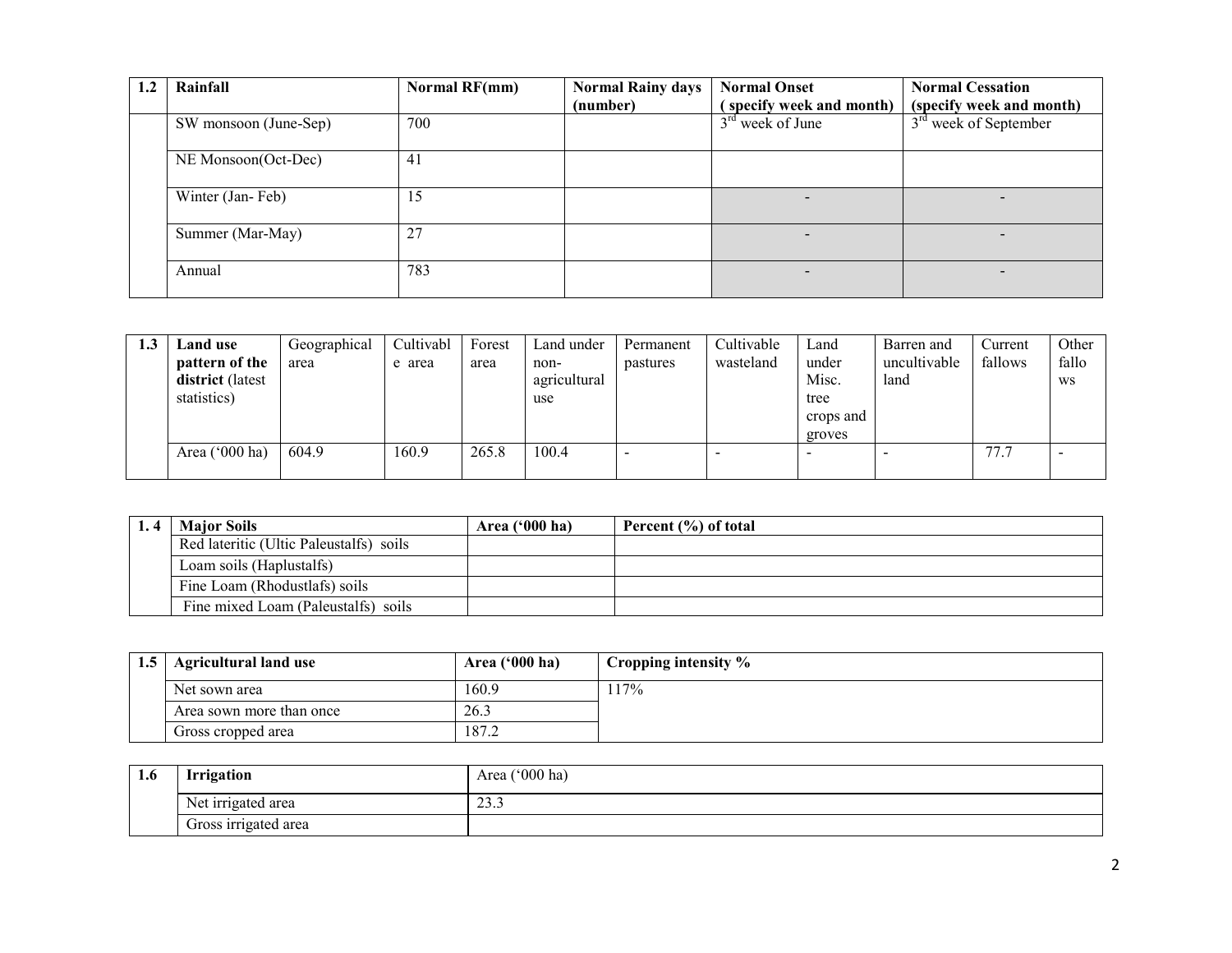| 1.2 | Rainfall              | Normal RF(mm) | <b>Normal Rainy days</b> | <b>Normal Onset</b>      | <b>Normal Cessation</b>  |
|-----|-----------------------|---------------|--------------------------|--------------------------|--------------------------|
|     |                       |               | (number)                 | (specify week and month) | (specify week and month) |
|     | SW monsoon (June-Sep) | 700           |                          | $3rd$ week of June       | $3rd$ week of September  |
|     | NE Monsoon(Oct-Dec)   | 41            |                          |                          |                          |
|     | Winter (Jan-Feb)      | 15            |                          | $\overline{\phantom{0}}$ |                          |
|     | Summer (Mar-May)      | 27            |                          |                          |                          |
|     | Annual                | 783           |                          |                          |                          |

| 1.3 | <b>Land use</b>  | Geographical | Cultivabl | Forest | Land under   | Permanent                | Cultivable | ∟and                     | Barren and   | Current | Other |
|-----|------------------|--------------|-----------|--------|--------------|--------------------------|------------|--------------------------|--------------|---------|-------|
|     | pattern of the   | area         | e area    | area   | non-         | pastures                 | wasteland  | under                    | uncultivable | fallows | fallo |
|     | district (latest |              |           |        | agricultural |                          |            | Misc.                    | land         |         | WS    |
|     | statistics)      |              |           |        | use          |                          |            | tree                     |              |         |       |
|     |                  |              |           |        |              |                          |            | crops and                |              |         |       |
|     |                  |              |           |        |              |                          |            | groves                   |              |         |       |
|     | Area $('000 ha)$ | 604.9        | 160.9     | 265.8  | 100.4        | $\overline{\phantom{0}}$ |            | $\overline{\phantom{a}}$ |              | 77.7    |       |
|     |                  |              |           |        |              |                          |            |                          |              |         |       |

| <b>Maior Soils</b>                      | Area $(900)$ ha) | Percent $(\% )$ of total |
|-----------------------------------------|------------------|--------------------------|
| Red lateritic (Ultic Paleustalfs) soils |                  |                          |
| Loam soils (Haplustalfs)                |                  |                          |
| Fine Loam (Rhodustlafs) soils           |                  |                          |
| Fine mixed Loam (Paleustalfs) soils     |                  |                          |

| 1.5 <sub>1</sub> | <b>Agricultural land use</b> | Area $('000 ha)$ | Cropping intensity % |
|------------------|------------------------------|------------------|----------------------|
|                  | Net sown area                | 160.9            | 117%                 |
|                  | Area sown more than once     | 26.3             |                      |
|                  | Gross cropped area           | 187.2            |                      |

| 1.0 | Irrigation           | Area $('000 ha)$ |
|-----|----------------------|------------------|
|     | Net irrigated area   | $\sim$<br>ر.ر∠   |
|     | Gross irrigated area |                  |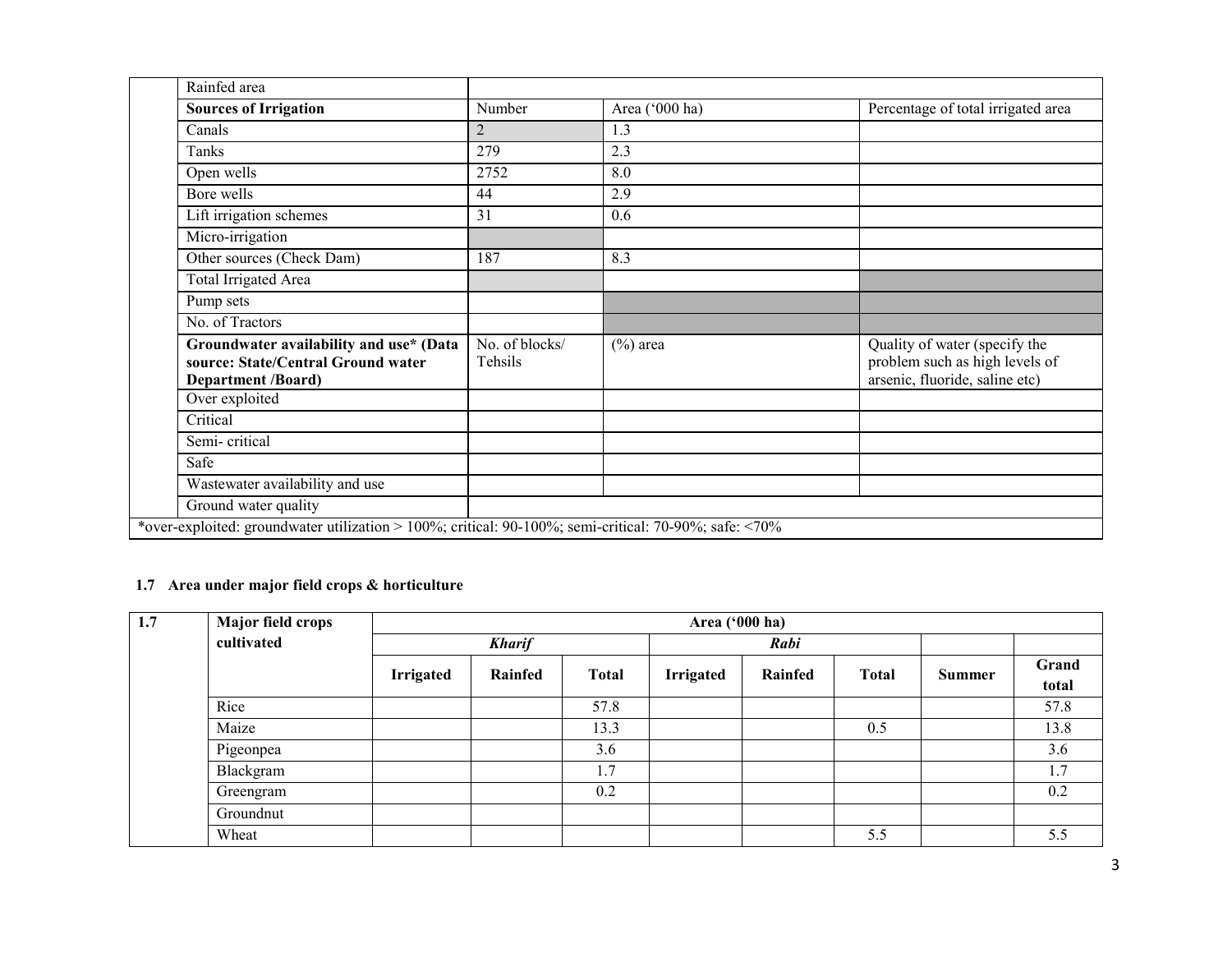| Rainfed area                                                                                               |                           |                |                                                                                                   |
|------------------------------------------------------------------------------------------------------------|---------------------------|----------------|---------------------------------------------------------------------------------------------------|
| <b>Sources of Irrigation</b>                                                                               | Number                    | Area ('000 ha) | Percentage of total irrigated area                                                                |
| Canals                                                                                                     | $\overline{2}$            | 1.3            |                                                                                                   |
| Tanks                                                                                                      | 279                       | 2.3            |                                                                                                   |
| Open wells                                                                                                 | 2752                      | 8.0            |                                                                                                   |
| Bore wells                                                                                                 | 44                        | 2.9            |                                                                                                   |
| Lift irrigation schemes                                                                                    | 31                        | 0.6            |                                                                                                   |
| Micro-irrigation                                                                                           |                           |                |                                                                                                   |
| Other sources (Check Dam)                                                                                  | 187                       | 8.3            |                                                                                                   |
| Total Irrigated Area                                                                                       |                           |                |                                                                                                   |
| Pump sets                                                                                                  |                           |                |                                                                                                   |
| No. of Tractors                                                                                            |                           |                |                                                                                                   |
| Groundwater availability and use* (Data<br>source: State/Central Ground water<br><b>Department /Board)</b> | No. of blocks/<br>Tehsils | $(\%)$ area    | Quality of water (specify the<br>problem such as high levels of<br>arsenic, fluoride, saline etc) |
| Over exploited                                                                                             |                           |                |                                                                                                   |
| Critical                                                                                                   |                           |                |                                                                                                   |
| Semi-critical                                                                                              |                           |                |                                                                                                   |
| Safe                                                                                                       |                           |                |                                                                                                   |
| Wastewater availability and use                                                                            |                           |                |                                                                                                   |
| Ground water quality                                                                                       |                           |                |                                                                                                   |
| *over-exploited: groundwater utilization $> 100\%$ ; critical: 90-100%; semi-critical: 70-90%; safe: <70%  |                           |                |                                                                                                   |

#### 1.7 Area under major field crops & horticulture

| 1.7 | <b>Major field crops</b> |                  | Area ('000 ha) |              |                  |         |              |        |       |
|-----|--------------------------|------------------|----------------|--------------|------------------|---------|--------------|--------|-------|
|     | cultivated               |                  | <b>Kharif</b>  |              |                  | Rabi    |              |        |       |
|     |                          | <b>Irrigated</b> | Rainfed        | <b>Total</b> | <b>Irrigated</b> | Rainfed | <b>Total</b> | Summer | Grand |
|     |                          |                  |                |              |                  |         |              |        | total |
|     | Rice                     |                  |                | 57.8         |                  |         |              |        | 57.8  |
|     | Maize                    |                  |                | 13.3         |                  |         | 0.5          |        | 13.8  |
|     | Pigeonpea                |                  |                | 3.6          |                  |         |              |        | 3.6   |
|     | Blackgram                |                  |                | 1.7          |                  |         |              |        | 1.7   |
|     | Greengram                |                  |                | 0.2          |                  |         |              |        | 0.2   |
|     | Groundnut                |                  |                |              |                  |         |              |        |       |
|     | Wheat                    |                  |                |              |                  |         | 5.5          |        | 5.5   |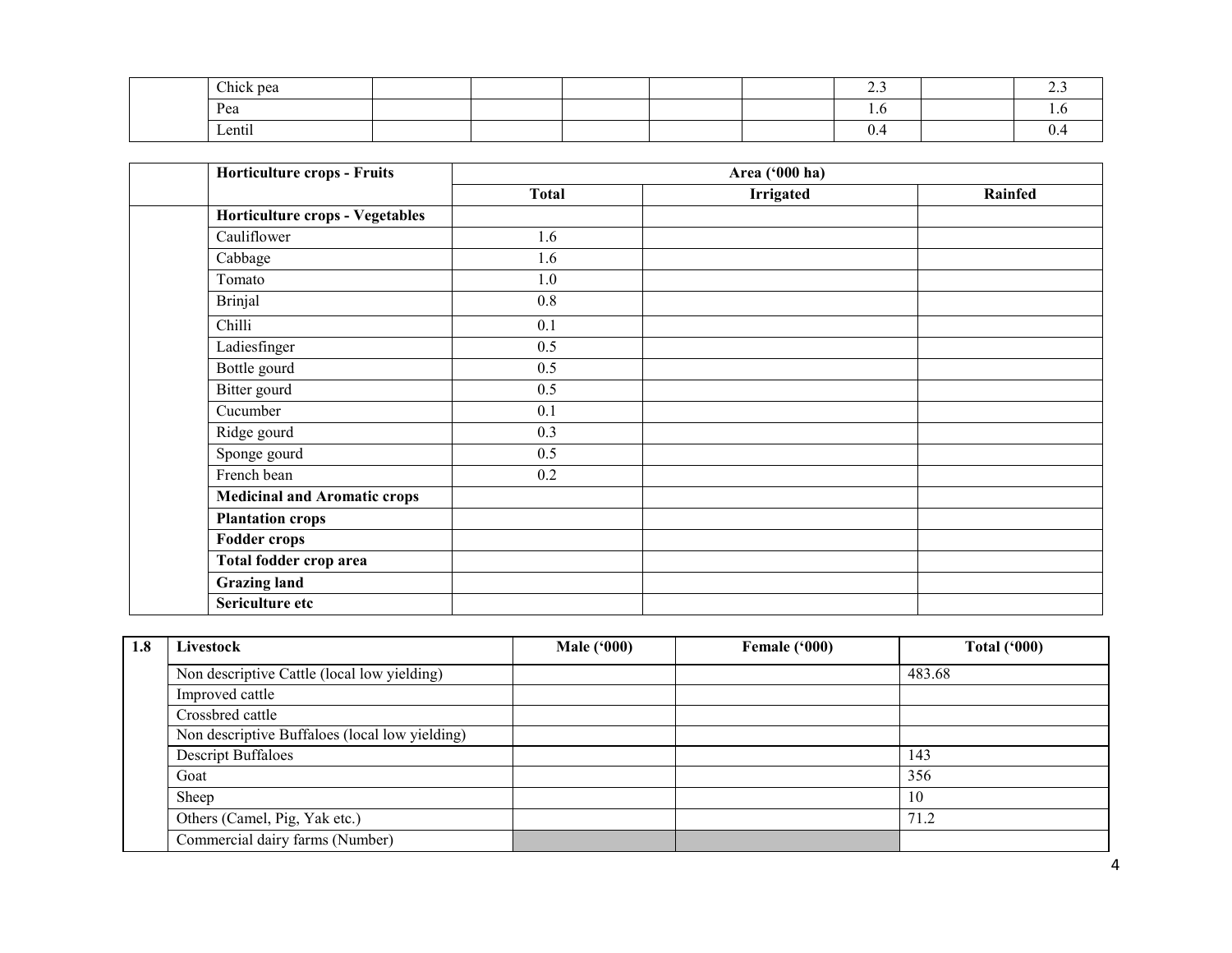| Chick pea |  |  | ر. پ      | -- |
|-----------|--|--|-----------|----|
| Pea       |  |  |           |    |
| Lentil    |  |  | <b>v.</b> |    |

| Horticulture crops - Fruits         |              | Area ('000 ha)   |         |
|-------------------------------------|--------------|------------------|---------|
|                                     | <b>Total</b> | <b>Irrigated</b> | Rainfed |
| Horticulture crops - Vegetables     |              |                  |         |
| Cauliflower                         | 1.6          |                  |         |
| Cabbage                             | 1.6          |                  |         |
| Tomato                              | 1.0          |                  |         |
| <b>Brinjal</b>                      | $0.8\,$      |                  |         |
| Chilli                              | 0.1          |                  |         |
| Ladiesfinger                        | 0.5          |                  |         |
| Bottle gourd                        | 0.5          |                  |         |
| Bitter gourd                        | 0.5          |                  |         |
| Cucumber                            | 0.1          |                  |         |
| Ridge gourd                         | 0.3          |                  |         |
| Sponge gourd                        | 0.5          |                  |         |
| French bean                         | 0.2          |                  |         |
| <b>Medicinal and Aromatic crops</b> |              |                  |         |
| <b>Plantation crops</b>             |              |                  |         |
| <b>Fodder crops</b>                 |              |                  |         |
| Total fodder crop area              |              |                  |         |
| <b>Grazing land</b>                 |              |                  |         |
| Sericulture etc                     |              |                  |         |

| 1.8 | Livestock                                      | Male $(900)$ | Female ('000) | Total ('000) |
|-----|------------------------------------------------|--------------|---------------|--------------|
|     | Non descriptive Cattle (local low yielding)    |              |               | 483.68       |
|     | Improved cattle                                |              |               |              |
|     | Crossbred cattle                               |              |               |              |
|     | Non descriptive Buffaloes (local low yielding) |              |               |              |
|     | <b>Descript Buffaloes</b>                      |              |               | 143          |
|     | Goat                                           |              |               | 356          |
|     | Sheep                                          |              |               | 10           |
|     | Others (Camel, Pig, Yak etc.)                  |              |               | 71.2         |
|     | Commercial dairy farms (Number)                |              |               |              |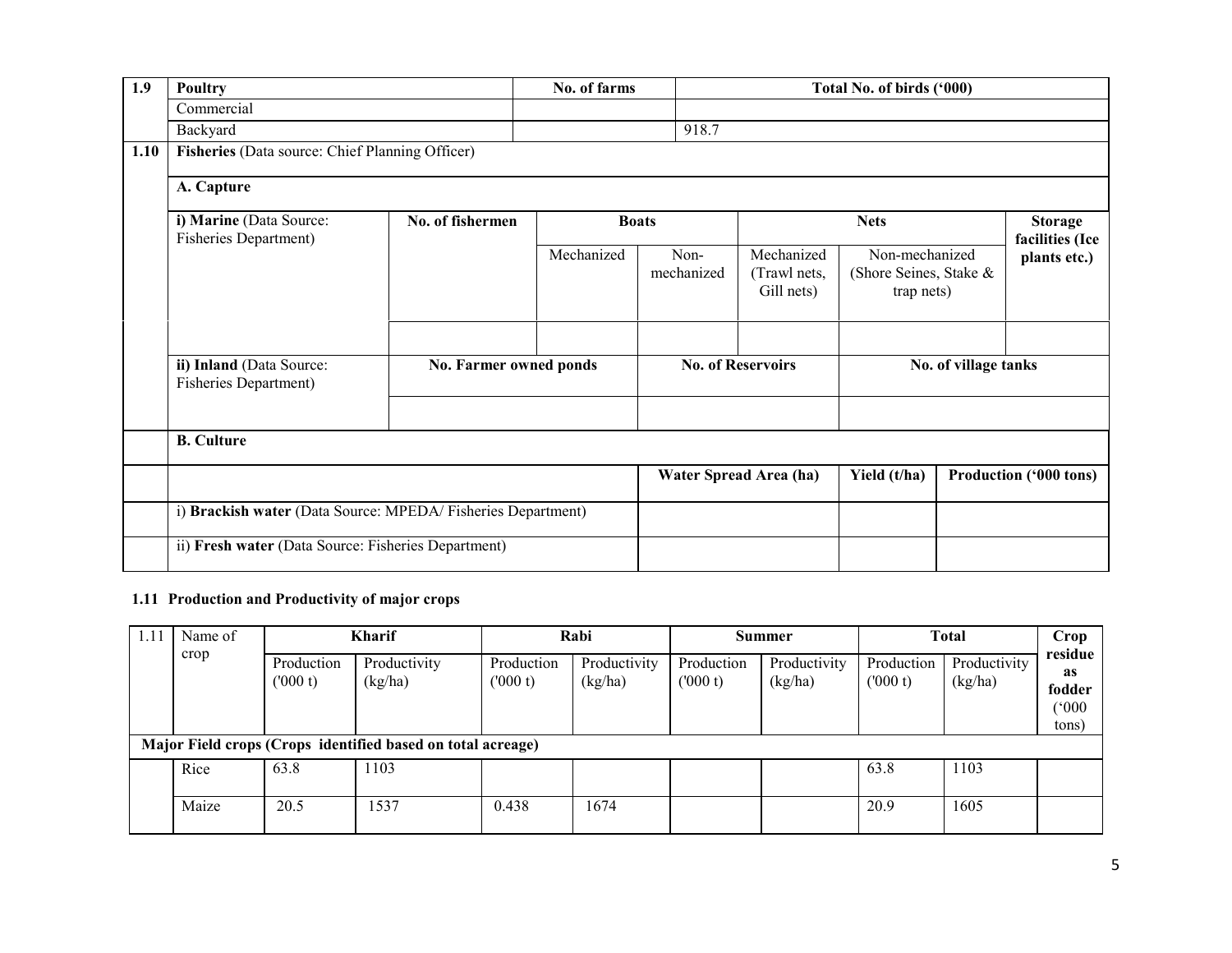| 1.9  | <b>Poultry</b>                                              |                  | No. of farms                     |                                          |                                                        | Total No. of birds ('000) |              |                                   |  |
|------|-------------------------------------------------------------|------------------|----------------------------------|------------------------------------------|--------------------------------------------------------|---------------------------|--------------|-----------------------------------|--|
|      | Commercial                                                  |                  |                                  |                                          |                                                        |                           |              |                                   |  |
|      | Backyard                                                    |                  |                                  | 918.7                                    |                                                        |                           |              |                                   |  |
| 1.10 | Fisheries (Data source: Chief Planning Officer)             |                  |                                  |                                          |                                                        |                           |              |                                   |  |
|      | A. Capture                                                  |                  |                                  |                                          |                                                        |                           |              |                                   |  |
|      | i) Marine (Data Source:<br><b>Fisheries Department)</b>     | No. of fishermen |                                  | <b>Boats</b>                             | <b>Nets</b>                                            |                           |              | <b>Storage</b><br>facilities (Ice |  |
|      |                                                             |                  | Mechanized<br>Non-<br>mechanized | Mechanized<br>(Trawl nets,<br>Gill nets) | Non-mechanized<br>(Shore Seines, Stake &<br>trap nets) |                           | plants etc.) |                                   |  |
|      | ii) Inland (Data Source:<br><b>Fisheries Department)</b>    |                  | No. Farmer owned ponds           |                                          | <b>No. of Reservoirs</b>                               |                           |              | No. of village tanks              |  |
|      |                                                             |                  |                                  |                                          |                                                        |                           |              |                                   |  |
|      | <b>B.</b> Culture                                           |                  |                                  |                                          |                                                        |                           |              |                                   |  |
|      |                                                             |                  |                                  |                                          | Water Spread Area (ha)                                 | Yield (t/ha)              |              | Production ('000 tons)            |  |
|      | i) Brackish water (Data Source: MPEDA/Fisheries Department) |                  |                                  |                                          |                                                        |                           |              |                                   |  |
|      | ii) Fresh water (Data Source: Fisheries Department)         |                  |                                  |                                          |                                                        |                           |              |                                   |  |

#### 1.11 Production and Productivity of major crops

| 1.11 | Name of |                        | <b>Kharif</b>                                               |                       | Rabi                    |                       | Summer                  |                       | <b>Total</b>            | Crop                                       |
|------|---------|------------------------|-------------------------------------------------------------|-----------------------|-------------------------|-----------------------|-------------------------|-----------------------|-------------------------|--------------------------------------------|
|      | crop    | Production<br>(1000 t) | Productivity<br>(kg/ha)                                     | Production<br>(000 t) | Productivity<br>(kg/ha) | Production<br>(000 t) | Productivity<br>(kg/ha) | Production<br>(000 t) | Productivity<br>(kg/ha) | residue<br>as<br>fodder<br>(°000)<br>tons) |
|      |         |                        | Major Field crops (Crops identified based on total acreage) |                       |                         |                       |                         |                       |                         |                                            |
|      | Rice    | 63.8                   | 1103                                                        |                       |                         |                       |                         | 63.8                  | 1103                    |                                            |
|      | Maize   | 20.5                   | 1537                                                        | 0.438                 | 1674                    |                       |                         | 20.9                  | 1605                    |                                            |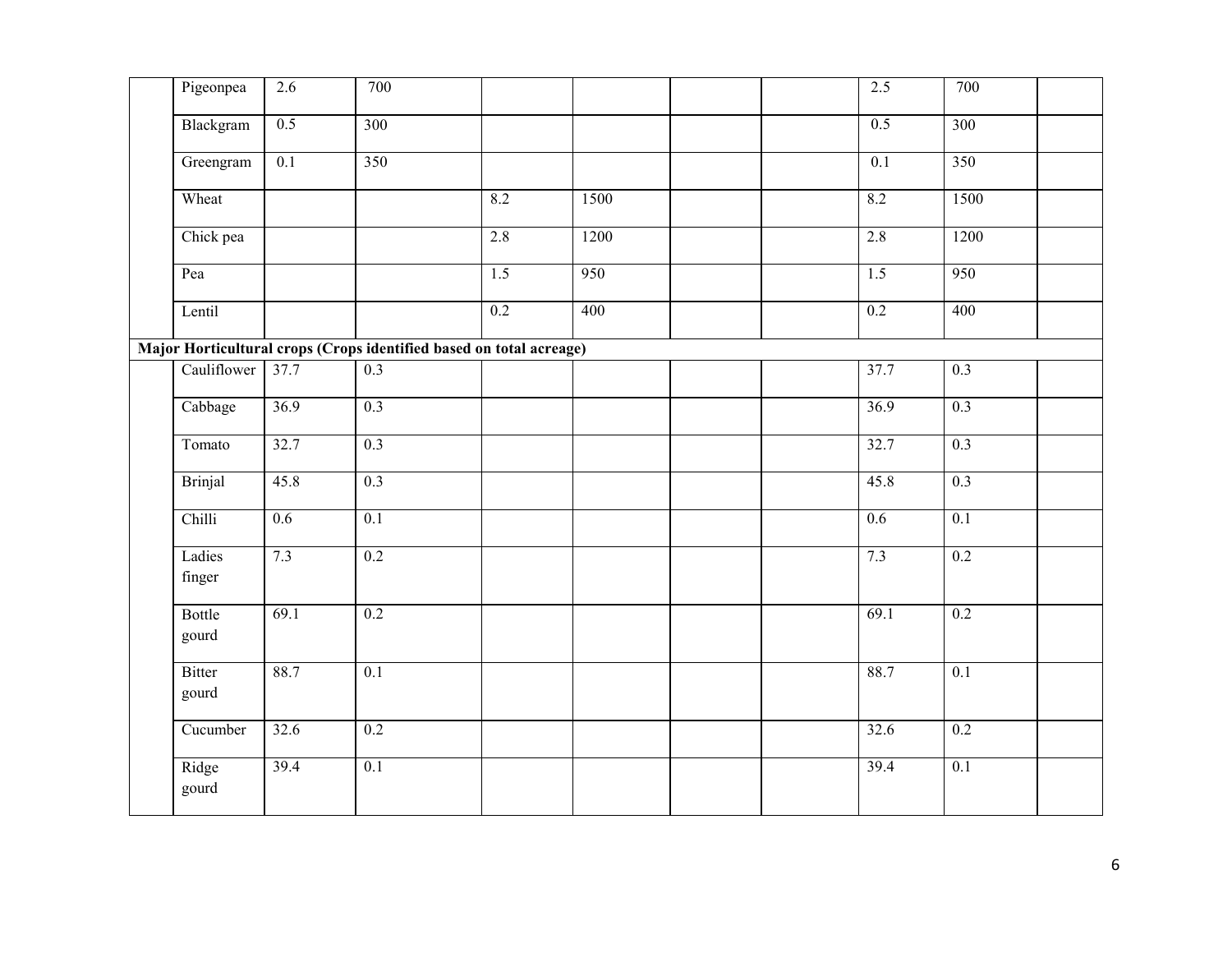| 2.5<br>Pigeonpea<br>2.6<br>700<br>0.5<br>0.5<br>Blackgram<br>300<br>0.1<br>350<br>0.1<br>Greengram<br>Wheat<br>8.2<br>8.2<br>1500<br>Chick pea<br>1200<br>2.8<br>2.8 | 700<br>300<br>350<br>1500<br>1200<br>950<br>400 |  |
|----------------------------------------------------------------------------------------------------------------------------------------------------------------------|-------------------------------------------------|--|
|                                                                                                                                                                      |                                                 |  |
|                                                                                                                                                                      |                                                 |  |
|                                                                                                                                                                      |                                                 |  |
|                                                                                                                                                                      |                                                 |  |
|                                                                                                                                                                      |                                                 |  |
| 1.5<br>950<br>1.5<br>Pea                                                                                                                                             |                                                 |  |
| 400<br>0.2<br>Lentil<br>0.2                                                                                                                                          |                                                 |  |
| Major Horticultural crops (Crops identified based on total acreage)                                                                                                  |                                                 |  |
| Cauliflower<br>37.7<br>37.7<br>0.3                                                                                                                                   | 0.3                                             |  |
| 36.9<br>0.3<br>36.9<br>Cabbage                                                                                                                                       | 0.3                                             |  |
| 32.7<br>32.7<br>0.3<br>Tomato                                                                                                                                        | 0.3                                             |  |
| 45.8<br>45.8<br><b>Brinjal</b><br>$\overline{0.3}$                                                                                                                   | 0.3                                             |  |
| Chilli<br>0.6<br>0.1<br>0.6                                                                                                                                          | 0.1                                             |  |
| Ladies<br>7.3<br>0.2<br>7.3<br>finger                                                                                                                                | 0.2                                             |  |
| 0.2<br>Bottle<br>69.1<br>69.1<br>gourd                                                                                                                               | 0.2                                             |  |
| Bitter<br>88.7<br>$\overline{0.1}$<br>88.7<br>gourd                                                                                                                  | $\overline{0.1}$                                |  |
| Cucumber<br>32.6<br>0.2<br>32.6                                                                                                                                      | 0.2                                             |  |
| Ridge<br>39.4<br>39.4<br>0.1<br>gourd                                                                                                                                | 0.1                                             |  |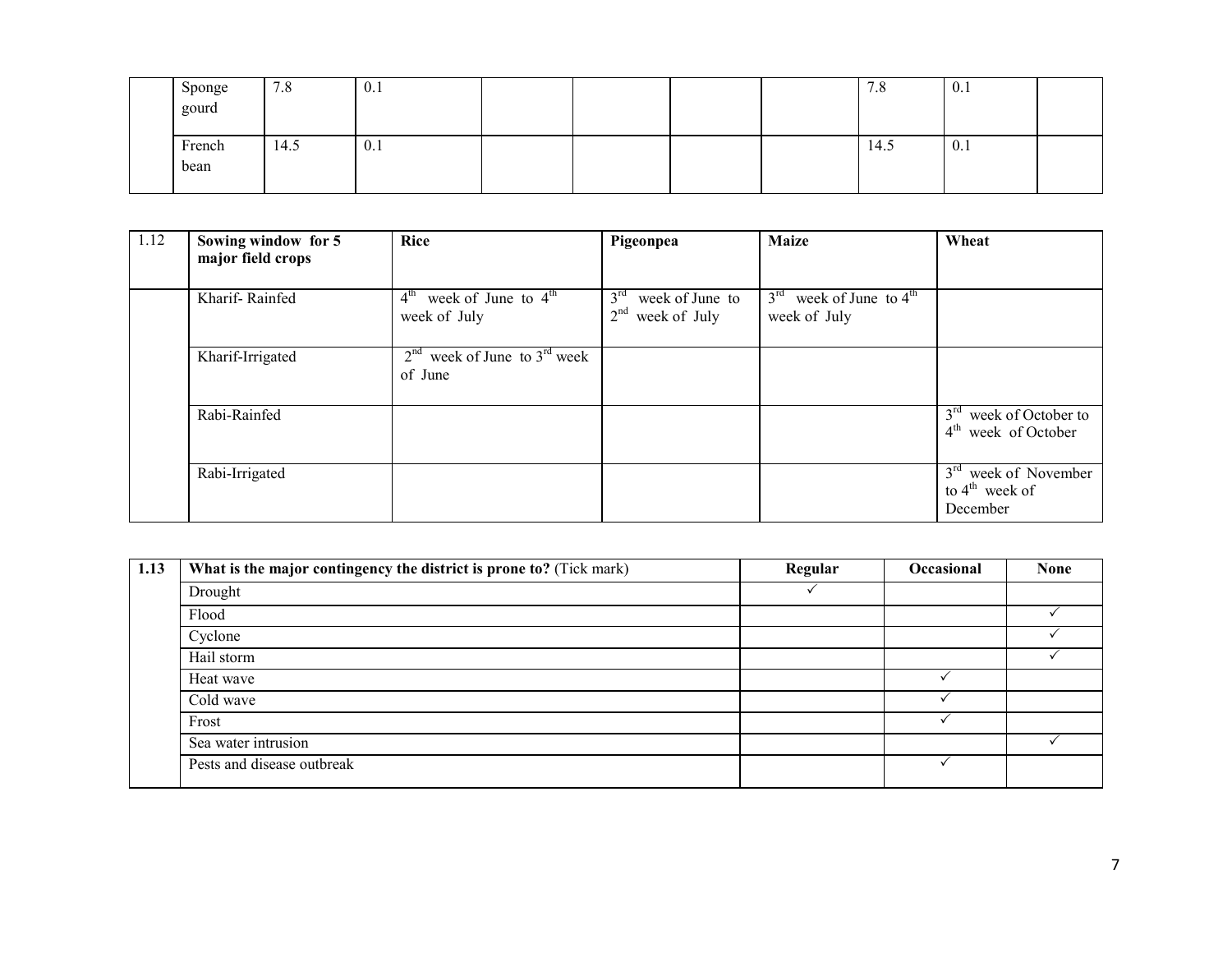| Sponge<br>gourd | $\overline{ }$<br>$\Omega$<br>1.0 | $U_{\rm t}$ |  |  | 1.0  | V.1 |  |
|-----------------|-----------------------------------|-------------|--|--|------|-----|--|
|                 |                                   |             |  |  |      |     |  |
| French          | 14.5                              | 0.1         |  |  | 14.5 |     |  |
| bean            |                                   |             |  |  |      | V.1 |  |
|                 |                                   |             |  |  |      |     |  |

| 1.12 | Sowing window for 5<br>major field crops | Rice                                                  | Pigeonpea                                                      | <b>Maize</b>                                                    | Wheat                                                                      |
|------|------------------------------------------|-------------------------------------------------------|----------------------------------------------------------------|-----------------------------------------------------------------|----------------------------------------------------------------------------|
|      | Kharif-Rainfed                           | $4th$ week of June to $4th$<br>week of July           | $3^{rd}$<br>week of June to<br>2 <sup>nd</sup><br>week of July | $3^{\text{rd}}$ week of June to $4^{\text{th}}$<br>week of July |                                                                            |
|      | Kharif-Irrigated                         | $2nd$ week of June to 3 <sup>rd</sup> week<br>of June |                                                                |                                                                 |                                                                            |
|      | Rabi-Rainfed                             |                                                       |                                                                |                                                                 | 3 <sup>rd</sup> week of October to<br>$4th$ week of October                |
|      | Rabi-Irrigated                           |                                                       |                                                                |                                                                 | 3 <sup>rd</sup> week of November<br>to $4^{\text{th}}$ week of<br>December |

| 1.13 | What is the major contingency the district is prone to? (Tick mark) | Regular | <b>Occasional</b> | <b>None</b> |
|------|---------------------------------------------------------------------|---------|-------------------|-------------|
|      | Drought                                                             |         |                   |             |
|      | Flood                                                               |         |                   |             |
|      | Cyclone                                                             |         |                   |             |
|      | Hail storm                                                          |         |                   |             |
|      | Heat wave                                                           |         |                   |             |
|      | Cold wave                                                           |         |                   |             |
|      | Frost                                                               |         |                   |             |
|      | Sea water intrusion                                                 |         |                   |             |
|      | Pests and disease outbreak                                          |         |                   |             |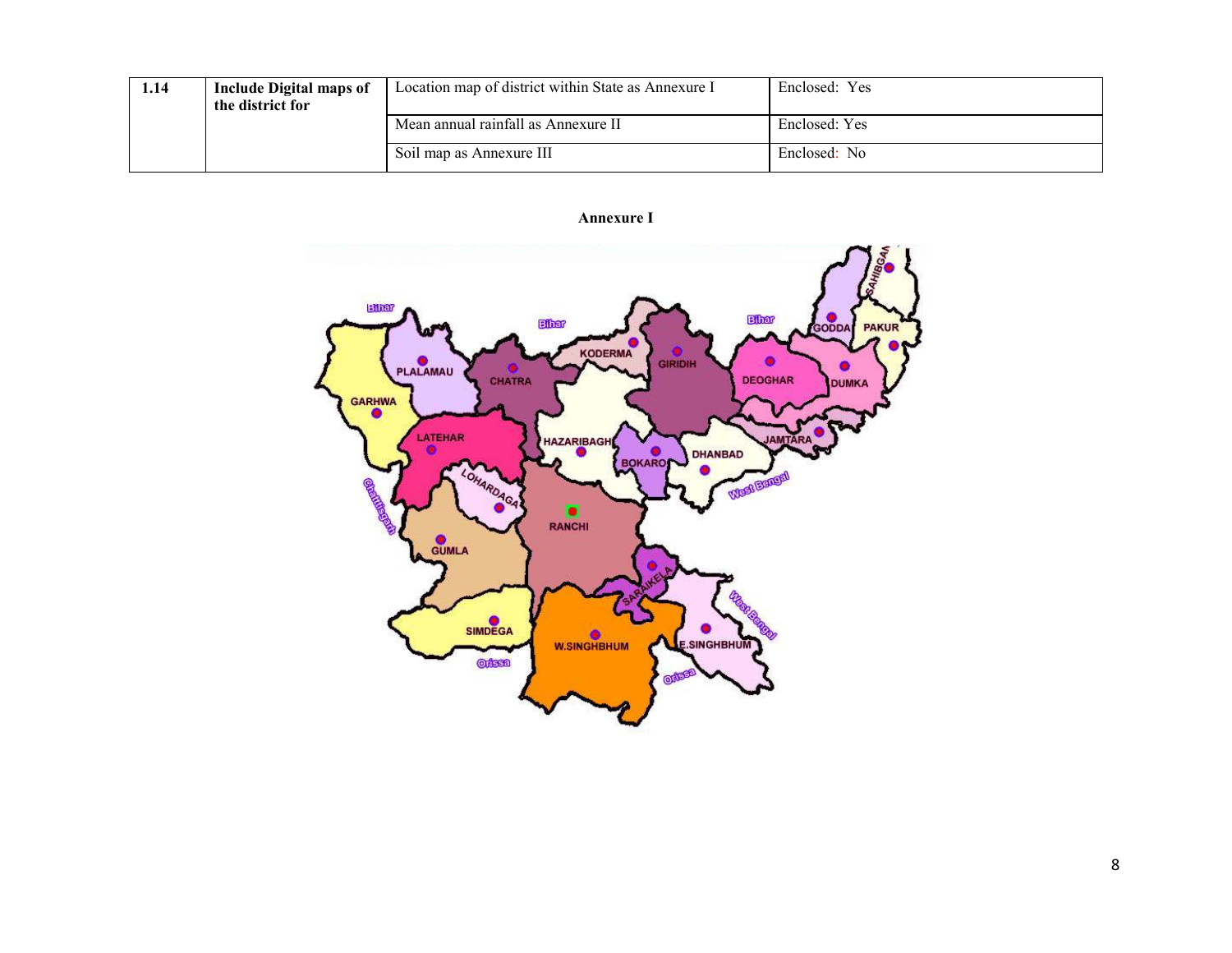| 1.14 | Include Digital maps of<br>the district for | Location map of district within State as Annexure I | Enclosed: Yes |
|------|---------------------------------------------|-----------------------------------------------------|---------------|
|      |                                             | Mean annual rainfall as Annexure II                 | Enclosed: Yes |
|      |                                             | Soil map as Annexure III                            | Enclosed: No  |



# Annexure I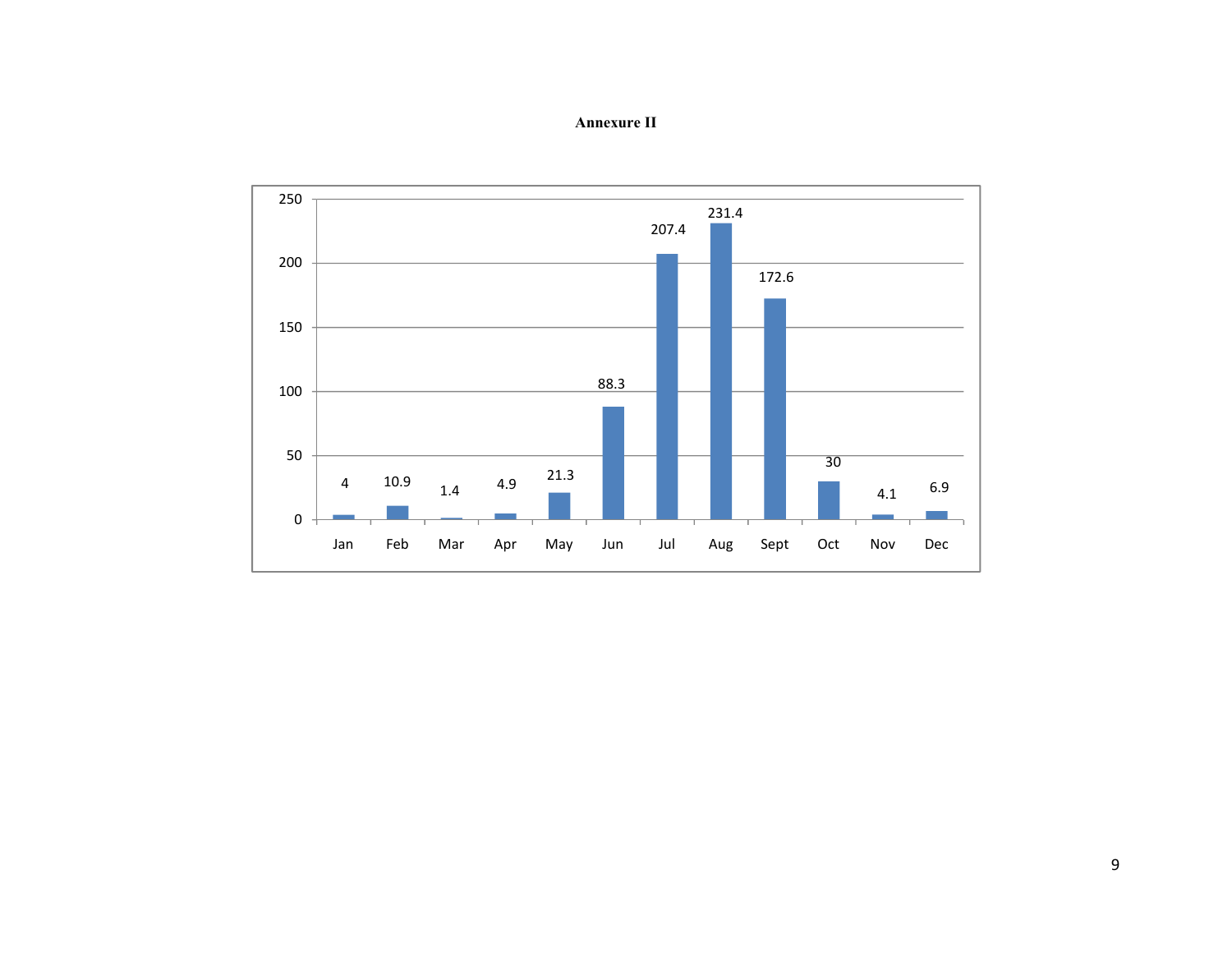Annexure II

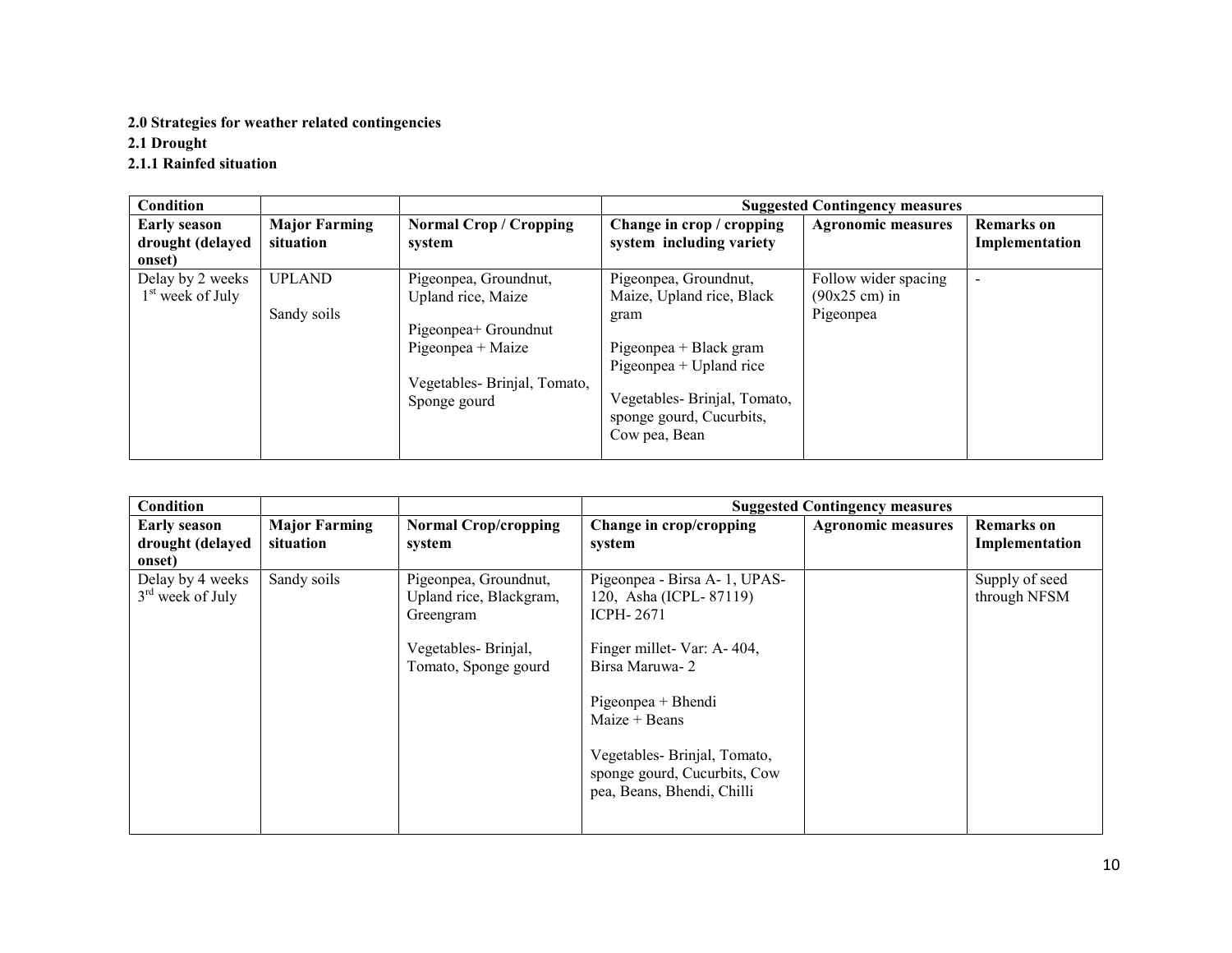# 2.0 Strategies for weather related contingencies

2.1 Drought

# 2.1.1 Rainfed situation

| Condition           |                      |                             |                             | <b>Suggested Contingency measures</b> |                   |
|---------------------|----------------------|-----------------------------|-----------------------------|---------------------------------------|-------------------|
| <b>Early season</b> | <b>Major Farming</b> | <b>Normal Crop/Cropping</b> | Change in crop / cropping   | <b>Agronomic measures</b>             | <b>Remarks</b> on |
| drought (delayed    | situation            | system                      | system including variety    |                                       | Implementation    |
| onset)              |                      |                             |                             |                                       |                   |
| Delay by 2 weeks    | <b>UPLAND</b>        | Pigeonpea, Groundnut,       | Pigeonpea, Groundnut,       | Follow wider spacing                  |                   |
| $1st$ week of July  |                      | Upland rice, Maize          | Maize, Upland rice, Black   | $(90x25$ cm) in                       |                   |
|                     | Sandy soils          |                             | gram                        | Pigeonpea                             |                   |
|                     |                      | Pigeonpea+ Groundnut        |                             |                                       |                   |
|                     |                      | Pigeonpea + Maize           | Pigeonpea + Black gram      |                                       |                   |
|                     |                      |                             | Pigeonpea + Upland rice     |                                       |                   |
|                     |                      | Vegetables-Brinjal, Tomato, |                             |                                       |                   |
|                     |                      | Sponge gourd                | Vegetables-Brinjal, Tomato, |                                       |                   |
|                     |                      |                             | sponge gourd, Cucurbits,    |                                       |                   |
|                     |                      |                             | Cow pea, Bean               |                                       |                   |
|                     |                      |                             |                             |                                       |                   |

| <b>Condition</b>                                  |                                   |                                                                                                              |                                                                                                                                                                                                                                                                     | <b>Suggested Contingency measures</b> |                                     |
|---------------------------------------------------|-----------------------------------|--------------------------------------------------------------------------------------------------------------|---------------------------------------------------------------------------------------------------------------------------------------------------------------------------------------------------------------------------------------------------------------------|---------------------------------------|-------------------------------------|
| <b>Early season</b><br>drought (delayed<br>onset) | <b>Major Farming</b><br>situation | <b>Normal Crop/cropping</b><br>system                                                                        | Change in crop/cropping<br>system                                                                                                                                                                                                                                   | <b>Agronomic measures</b>             | <b>Remarks</b> on<br>Implementation |
| Delay by 4 weeks<br>$3rd$ week of July            | Sandy soils                       | Pigeonpea, Groundnut,<br>Upland rice, Blackgram,<br>Greengram<br>Vegetables-Brinjal,<br>Tomato, Sponge gourd | Pigeonpea - Birsa A- 1, UPAS-<br>120, Asha (ICPL-87119)<br><b>ICPH-2671</b><br>Finger millet- Var: A-404,<br>Birsa Maruwa-2<br>$Pigeonpea + Bhendi$<br>$Maize + Beans$<br>Vegetables-Brinjal, Tomato,<br>sponge gourd, Cucurbits, Cow<br>pea, Beans, Bhendi, Chilli |                                       | Supply of seed<br>through NFSM      |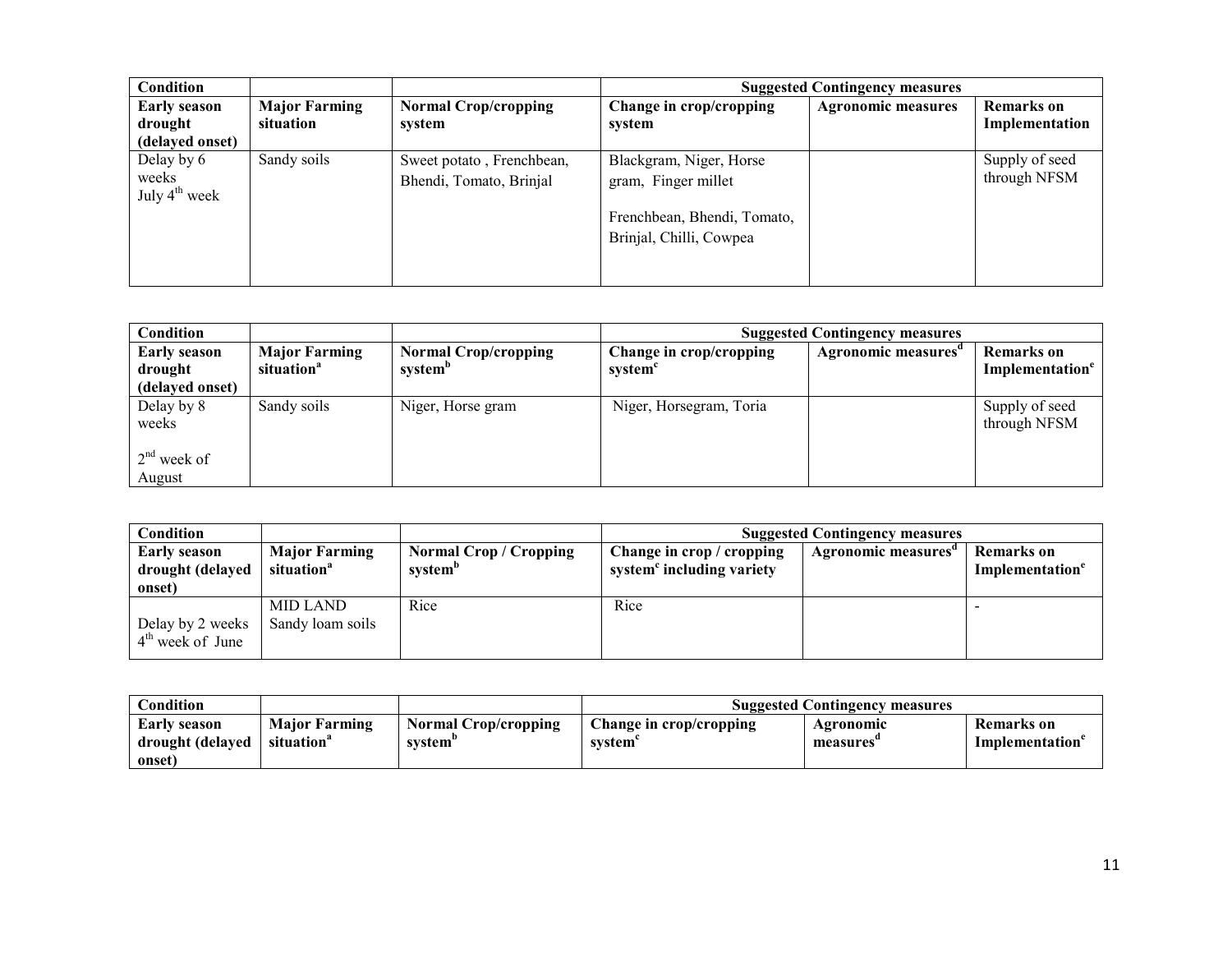| Condition                                         |                                   |                                                      |                                                                                                          | <b>Suggested Contingency measures</b> |                                     |
|---------------------------------------------------|-----------------------------------|------------------------------------------------------|----------------------------------------------------------------------------------------------------------|---------------------------------------|-------------------------------------|
| <b>Early season</b><br>drought<br>(delayed onset) | <b>Major Farming</b><br>situation | <b>Normal Crop/cropping</b><br>system                | Change in crop/cropping<br>system                                                                        | <b>Agronomic measures</b>             | <b>Remarks</b> on<br>Implementation |
| Delay by 6<br>weeks<br>July $4^{\text{th}}$ week  | Sandy soils                       | Sweet potato, Frenchbean,<br>Bhendi, Tomato, Brinjal | Blackgram, Niger, Horse<br>gram, Finger millet<br>Frenchbean, Bhendi, Tomato,<br>Brinjal, Chilli, Cowpea |                                       | Supply of seed<br>through NFSM      |

| <b>Condition</b>               |                                                |                                                    |                                   | <b>Suggested Contingency measures</b> |                                                        |
|--------------------------------|------------------------------------------------|----------------------------------------------------|-----------------------------------|---------------------------------------|--------------------------------------------------------|
| <b>Early season</b><br>drought | <b>Major Farming</b><br>situation <sup>a</sup> | <b>Normal Crop/cropping</b><br>system <sup>b</sup> | Change in crop/cropping<br>system | Agronomic measures                    | <b>Remarks</b> on<br><b>Implementation<sup>e</sup></b> |
| (delayed onset)                |                                                |                                                    |                                   |                                       |                                                        |
| Delay by 8<br>weeks            | Sandy soils                                    | Niger, Horse gram                                  | Niger, Horsegram, Toria           |                                       | Supply of seed<br>through NFSM                         |
| $2nd$ week of                  |                                                |                                                    |                                   |                                       |                                                        |
| August                         |                                                |                                                    |                                   |                                       |                                                        |

| <b>Condition</b>                                 |                                                |                                                    |                                                                    | <b>Suggested Contingency measures</b> |                                                  |
|--------------------------------------------------|------------------------------------------------|----------------------------------------------------|--------------------------------------------------------------------|---------------------------------------|--------------------------------------------------|
| <b>Early season</b><br>drought (delayed          | <b>Major Farming</b><br>situation <sup>a</sup> | <b>Normal Crop/Cropping</b><br>system <sup>b</sup> | Change in crop / cropping<br>system <sup>c</sup> including variety | Agronomic measures                    | <b>Remarks</b> on<br>Implementation <sup>e</sup> |
| onset)                                           |                                                |                                                    |                                                                    |                                       |                                                  |
| Delay by 2 weeks<br>$4^{\text{th}}$ week of June | MID LAND<br>Sandy loam soils                   | Rice                                               | Rice                                                               |                                       |                                                  |

| Condition                                         |                                    |                                | <b>Suggested Contingency measures</b> |                       |                              |  |
|---------------------------------------------------|------------------------------------|--------------------------------|---------------------------------------|-----------------------|------------------------------|--|
| <b>Early season</b><br>drought (delayed<br>onset) | <b>Maior Farming</b><br>situation' | Normal Crop/cropping<br>system | Change in crop/cropping<br>svstem`    | Agronomic<br>measures | Remarks on<br>Implementation |  |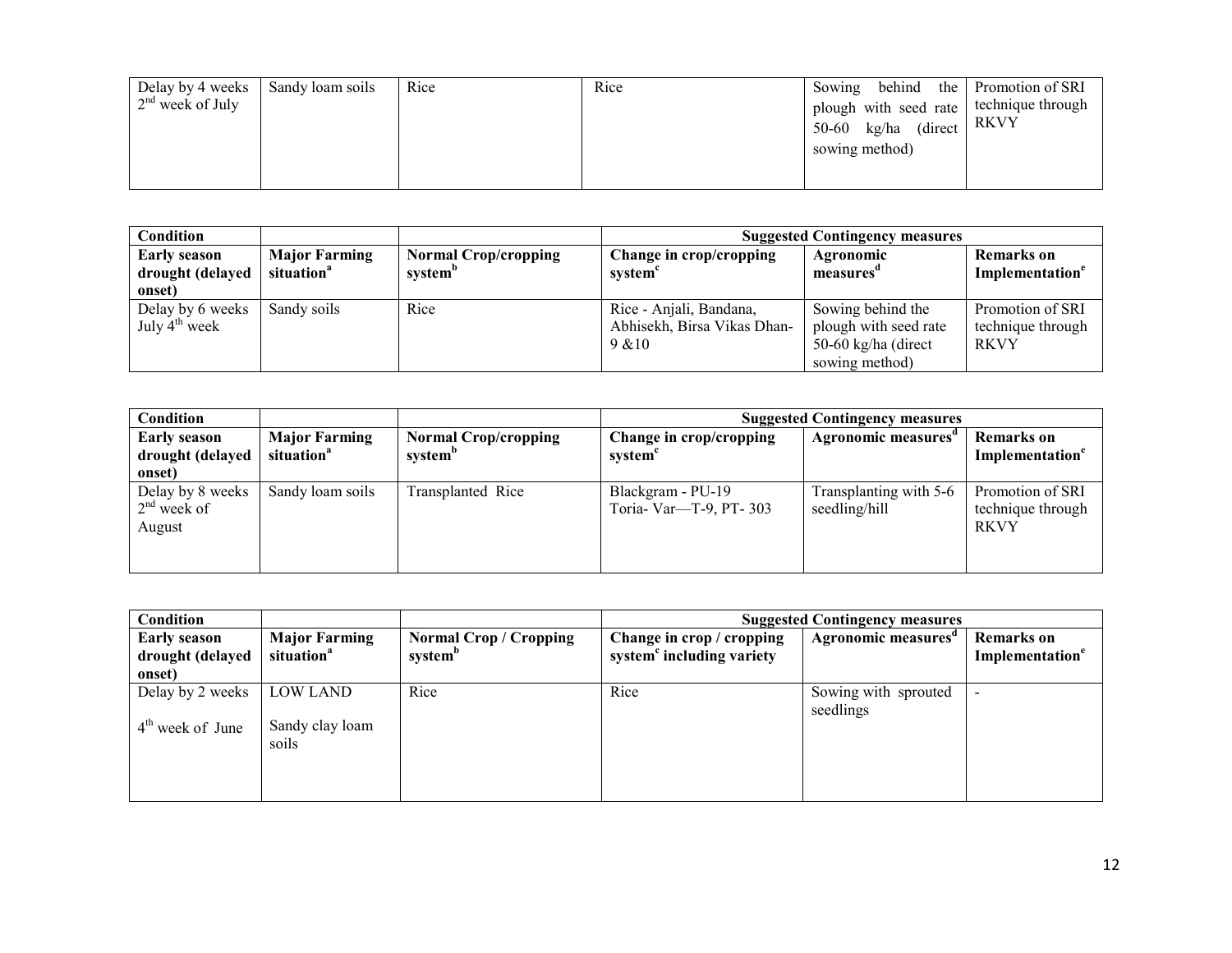| Delay by 4 weeks   | Sandy loam soils | Rice | Rice | Sowing                                    | behind the Promotion of SRI |
|--------------------|------------------|------|------|-------------------------------------------|-----------------------------|
| $2nd$ week of July |                  |      |      | plough with seed rate   technique through |                             |
|                    |                  |      |      | 50-60 kg/ha<br>(direct)                   | RKVY                        |
|                    |                  |      |      | sowing method)                            |                             |
|                    |                  |      |      |                                           |                             |
|                    |                  |      |      |                                           |                             |

| <b>Condition</b>                        |                                                |                                                    | <b>Suggested Contingency measures</b>                  |                                            |                                                  |  |
|-----------------------------------------|------------------------------------------------|----------------------------------------------------|--------------------------------------------------------|--------------------------------------------|--------------------------------------------------|--|
| <b>Early season</b><br>drought (delayed | <b>Major Farming</b><br>situation <sup>a</sup> | <b>Normal Crop/cropping</b><br>system <sup>b</sup> | Change in crop/cropping<br>system <sup>c</sup>         | Agronomic<br>measures                      | <b>Remarks</b> on<br>Implementation <sup>e</sup> |  |
| onset)                                  |                                                |                                                    |                                                        |                                            |                                                  |  |
| Delay by 6 weeks<br>July $4th$ week     | Sandy soils                                    | Rice                                               | Rice - Anjali, Bandana,<br>Abhisekh, Birsa Vikas Dhan- | Sowing behind the<br>plough with seed rate | Promotion of SRI<br>technique through            |  |
|                                         |                                                |                                                    | 9 & 10                                                 | 50-60 kg/ha (direct                        | <b>RKVY</b>                                      |  |
|                                         |                                                |                                                    |                                                        | sowing method)                             |                                                  |  |

| Condition                                   |                                                |                                                    | <b>Suggested Contingency measures</b>          |                                         |                                                      |
|---------------------------------------------|------------------------------------------------|----------------------------------------------------|------------------------------------------------|-----------------------------------------|------------------------------------------------------|
| <b>Early season</b><br>drought (delayed     | <b>Major Farming</b><br>situation <sup>a</sup> | <b>Normal Crop/cropping</b><br>system <sup>b</sup> | Change in crop/cropping<br>system <sup>\</sup> | Agronomic measures"                     | <b>Remarks</b> on<br>Implementation <sup>e</sup>     |
| onset)                                      |                                                |                                                    |                                                |                                         |                                                      |
| Delay by 8 weeks<br>$2nd$ week of<br>August | Sandy loam soils                               | <b>Transplanted Rice</b>                           | Blackgram - PU-19<br>Toria-Var-T-9, PT-303     | Transplanting with 5-6<br>seedling/hill | Promotion of SRI<br>technique through<br><b>RKVY</b> |

| Condition                               |                                                |                                               | <b>Suggested Contingency measures</b>                              |                                 |                                                  |
|-----------------------------------------|------------------------------------------------|-----------------------------------------------|--------------------------------------------------------------------|---------------------------------|--------------------------------------------------|
| <b>Early season</b><br>drought (delayed | <b>Major Farming</b><br>situation <sup>a</sup> | Normal Crop / Cropping<br>system <sup>b</sup> | Change in crop / cropping<br>system <sup>c</sup> including variety | Agronomic measures <sup>d</sup> | <b>Remarks</b> on<br>Implementation <sup>e</sup> |
| onset)                                  |                                                |                                               |                                                                    |                                 |                                                  |
| Delay by 2 weeks                        | LOW LAND                                       | Rice                                          | Rice                                                               | Sowing with sprouted            |                                                  |
| $4th$ week of June                      | Sandy clay loam<br>soils                       |                                               |                                                                    | seedlings                       |                                                  |
|                                         |                                                |                                               |                                                                    |                                 |                                                  |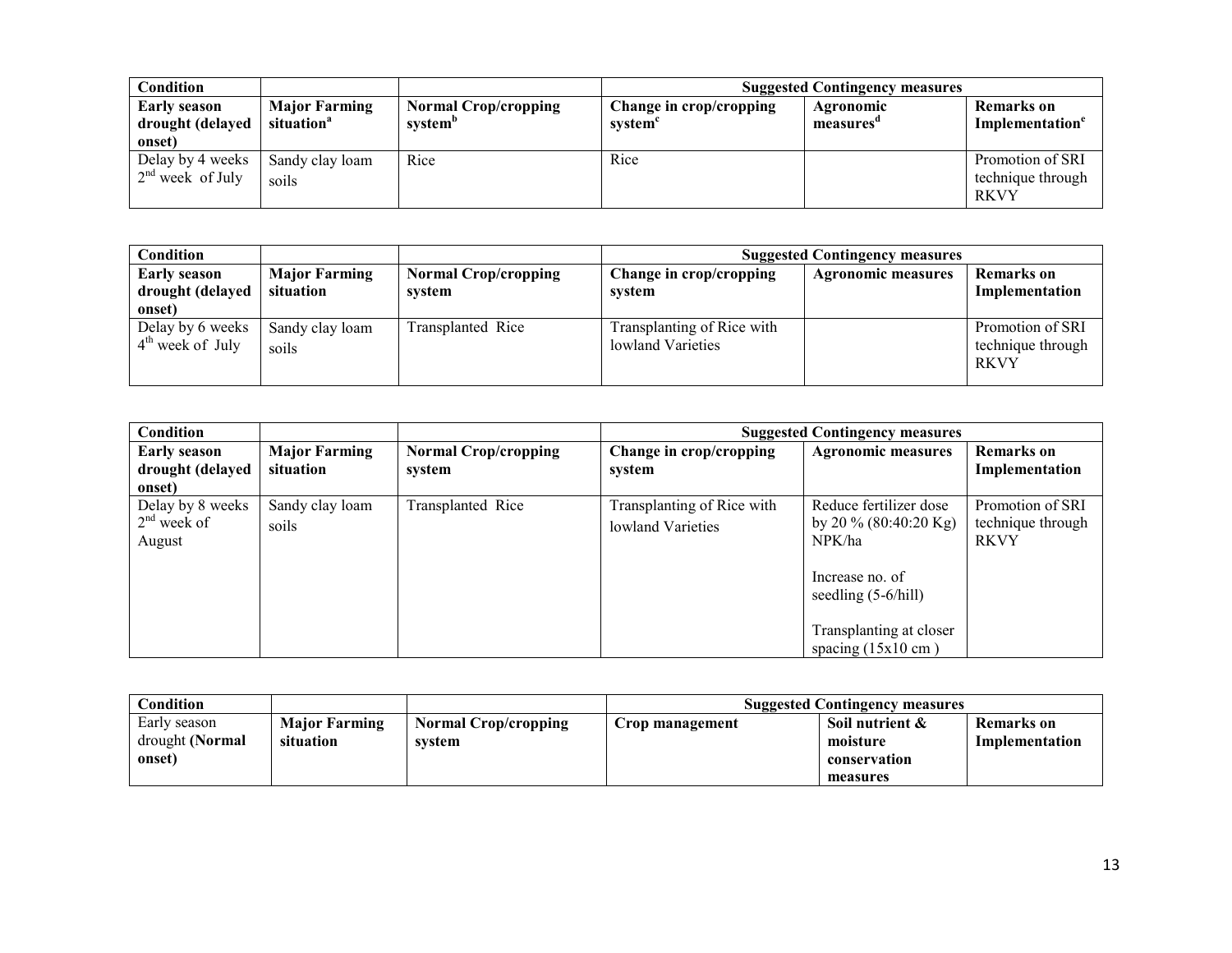| <b>Condition</b>   |                        |                             | <b>Suggested Contingency measures</b> |           |                             |
|--------------------|------------------------|-----------------------------|---------------------------------------|-----------|-----------------------------|
| Early season       | <b>Major Farming</b>   | <b>Normal Crop/cropping</b> | Change in crop/cropping               | Agronomic | Remarks on                  |
| drought (delayed   | situation <sup>a</sup> | system <sup>p</sup>         | system                                | measures  | Implementation <sup>e</sup> |
| onset)             |                        |                             |                                       |           |                             |
| Delay by 4 weeks   | Sandy clay loam        | Rice                        | Rice                                  |           | Promotion of SRI            |
| $2nd$ week of July | soils                  |                             |                                       |           | technique through           |
|                    |                        |                             |                                       |           | <b>RKVY</b>                 |

| Condition                                         |                                   |                                       | <b>Suggested Contingency measures</b>           |                           |                                                      |
|---------------------------------------------------|-----------------------------------|---------------------------------------|-------------------------------------------------|---------------------------|------------------------------------------------------|
| <b>Early season</b><br>drought (delayed<br>onset) | <b>Major Farming</b><br>situation | <b>Normal Crop/cropping</b><br>system | Change in crop/cropping<br>system               | <b>Agronomic measures</b> | <b>Remarks</b> on<br>Implementation                  |
| Delay by 6 weeks<br>$4th$ week of July            | Sandy clay loam<br>soils          | <b>Transplanted Rice</b>              | Transplanting of Rice with<br>lowland Varieties |                           | Promotion of SRI<br>technique through<br><b>RKVY</b> |

| Condition                                             |                                   |                                       |                                                 | <b>Suggested Contingency measures</b>                                                                                                                            |                                                      |
|-------------------------------------------------------|-----------------------------------|---------------------------------------|-------------------------------------------------|------------------------------------------------------------------------------------------------------------------------------------------------------------------|------------------------------------------------------|
| <b>Early season</b><br>drought (delayed               | <b>Major Farming</b><br>situation | <b>Normal Crop/cropping</b><br>system | Change in crop/cropping<br>system               | <b>Agronomic measures</b>                                                                                                                                        | <b>Remarks</b> on<br>Implementation                  |
| onset)<br>Delay by 8 weeks<br>$2nd$ week of<br>August | Sandy clay loam<br>soils          | Transplanted Rice                     | Transplanting of Rice with<br>lowland Varieties | Reduce fertilizer dose<br>by 20 % (80:40:20 Kg)<br>NPK/ha<br>Increase no. of<br>seedling $(5-6/hill)$<br>Transplanting at closer<br>spacing $(15x10 \text{ cm})$ | Promotion of SRI<br>technique through<br><b>RKVY</b> |

| Condition                                 |                                   |                                       | <b>Suggested Contingency measures</b> |                                             |                              |
|-------------------------------------------|-----------------------------------|---------------------------------------|---------------------------------------|---------------------------------------------|------------------------------|
| Early season<br>drought (Normal<br>onset) | <b>Major Farming</b><br>situation | <b>Normal Crop/cropping</b><br>system | Crop management                       | Soil nutrient &<br>moisture<br>conservation | Remarks on<br>Implementation |
|                                           |                                   |                                       |                                       | measures                                    |                              |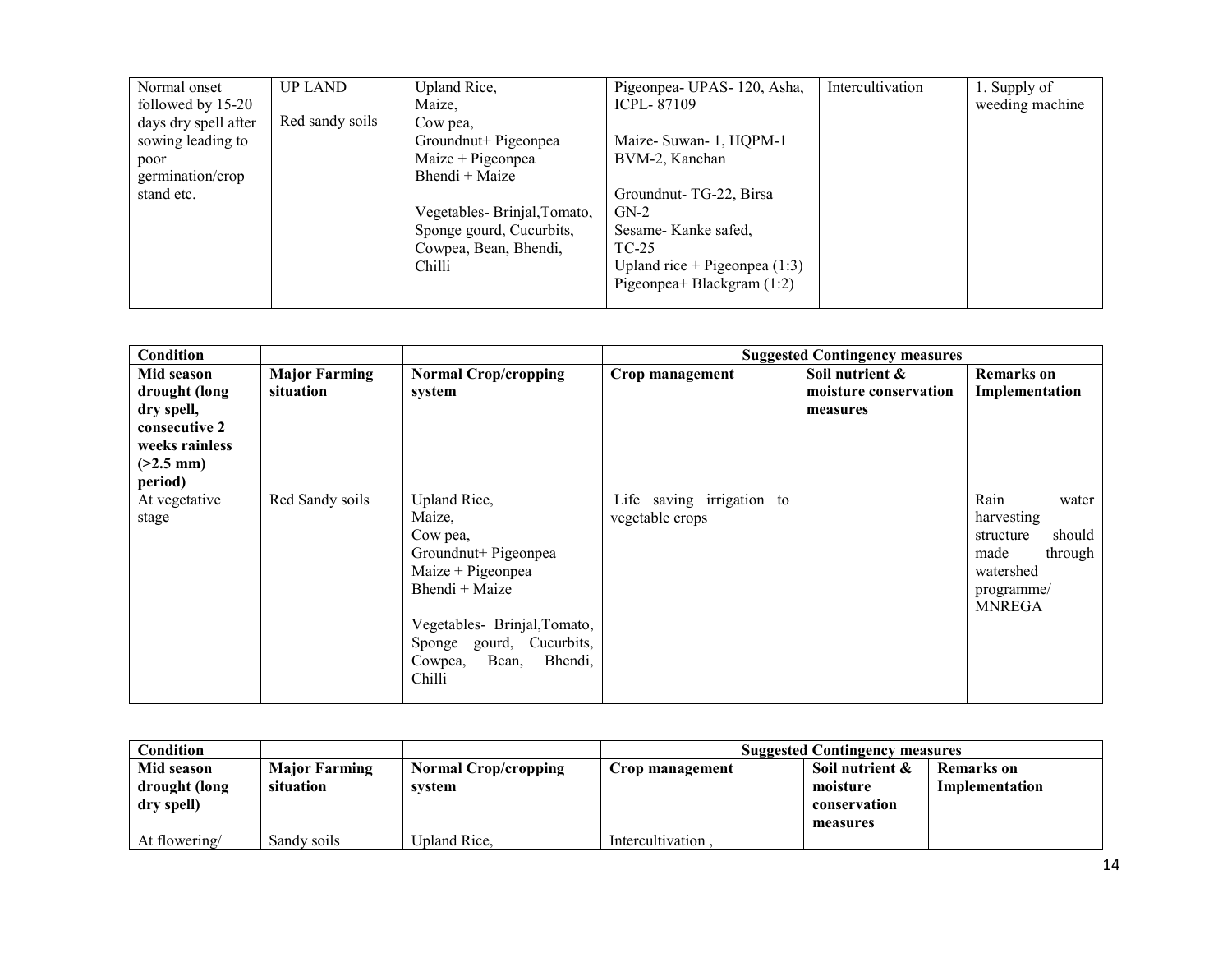| Normal onset         | <b>UP LAND</b>  | Upland Rice,                | Pigeonpea- UPAS- 120, Asha,     | Intercultivation | 1. Supply of    |
|----------------------|-----------------|-----------------------------|---------------------------------|------------------|-----------------|
| followed by 15-20    |                 | Maize,                      | <b>ICPL-87109</b>               |                  | weeding machine |
| days dry spell after | Red sandy soils | Cow pea,                    |                                 |                  |                 |
| sowing leading to    |                 | Groundnut+ Pigeonpea        | Maize-Suwan-1, HQPM-1           |                  |                 |
| poor                 |                 | $Maize + Pigeonpea$         | BVM-2, Kanchan                  |                  |                 |
| germination/crop     |                 | Bhendi + Maize              |                                 |                  |                 |
| stand etc.           |                 |                             | Groundnut-TG-22, Birsa          |                  |                 |
|                      |                 | Vegetables-Brinjal, Tomato, | $GN-2$                          |                  |                 |
|                      |                 | Sponge gourd, Cucurbits,    | Sesame-Kanke safed,             |                  |                 |
|                      |                 | Cowpea, Bean, Bhendi,       | TC-25                           |                  |                 |
|                      |                 | <b>Chilli</b>               | Upland rice + Pigeonpea $(1:3)$ |                  |                 |
|                      |                 |                             | Pigeonpea+ Blackgram $(1:2)$    |                  |                 |
|                      |                 |                             |                                 |                  |                 |

| <b>Condition</b>                                                                                       |                                   |                                                                                                                                                                                                             |                                              | <b>Suggested Contingency measures</b>                |                                                                                                                   |
|--------------------------------------------------------------------------------------------------------|-----------------------------------|-------------------------------------------------------------------------------------------------------------------------------------------------------------------------------------------------------------|----------------------------------------------|------------------------------------------------------|-------------------------------------------------------------------------------------------------------------------|
| Mid season<br>drought (long<br>dry spell,<br>consecutive 2<br>weeks rainless<br>$(>2.5$ mm)<br>period) | <b>Major Farming</b><br>situation | <b>Normal Crop/cropping</b><br>system                                                                                                                                                                       | Crop management                              | Soil nutrient &<br>moisture conservation<br>measures | <b>Remarks</b> on<br>Implementation                                                                               |
| At vegetative<br>stage                                                                                 | Red Sandy soils                   | Upland Rice,<br>Maize,<br>Cow pea,<br>Groundnut+ Pigeonpea<br>$Maize + Pigeonpea$<br>Bhendi + Maize<br>Vegetables- Brinjal, Tomato,<br>gourd, Cucurbits,<br>Sponge<br>Bhendi,<br>Cowpea,<br>Bean,<br>Chilli | Life saving irrigation to<br>vegetable crops |                                                      | Rain<br>water<br>harvesting<br>should<br>structure<br>made<br>through<br>watershed<br>programme/<br><b>MNREGA</b> |

| Condition     |                      |                             | <b>Suggested Contingency measures</b> |                 |                   |
|---------------|----------------------|-----------------------------|---------------------------------------|-----------------|-------------------|
| Mid season    | <b>Major Farming</b> | <b>Normal Crop/cropping</b> | Crop management                       | Soil nutrient & | <b>Remarks</b> on |
| drought (long | situation            | svstem                      |                                       | moisture        | Implementation    |
| dry spell)    |                      |                             |                                       | conservation    |                   |
|               |                      |                             |                                       | measures        |                   |
| At flowering/ | Sandy soils          | Upland Rice.                | Intercultivation.                     |                 |                   |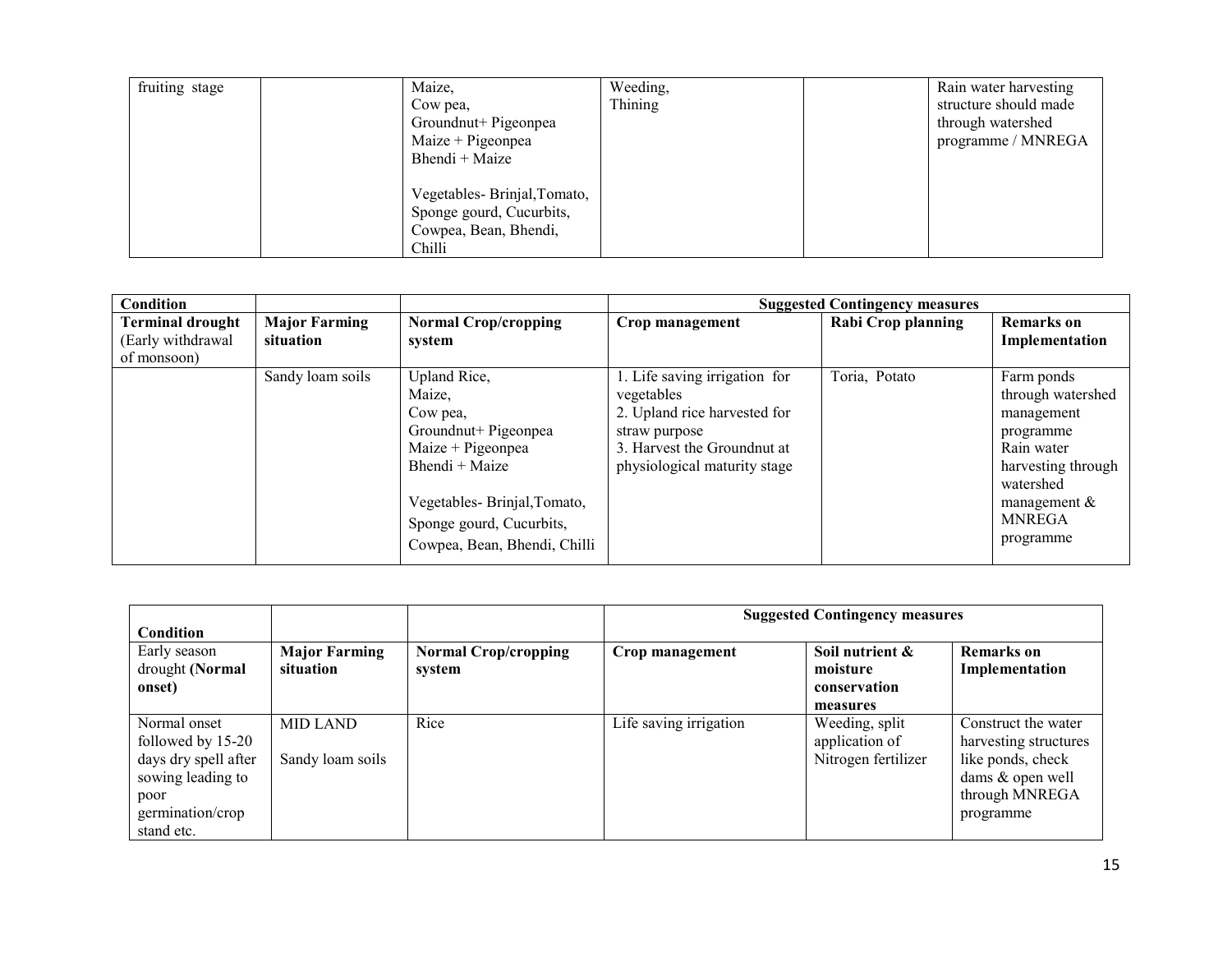| fruiting stage | Maize,<br>Cow pea,<br>Groundnut+ Pigeonpea<br>$Maize + Pigeonpea$<br>Bhendi + Maize        | Weeding,<br>Thining | Rain water harvesting<br>structure should made<br>through watershed<br>programme / MNREGA |
|----------------|--------------------------------------------------------------------------------------------|---------------------|-------------------------------------------------------------------------------------------|
|                | Vegetables-Brinjal, Tomato,<br>Sponge gourd, Cucurbits,<br>Cowpea, Bean, Bhendi,<br>Chilli |                     |                                                                                           |

| <b>Condition</b>                                            |                                   |                                                                                                                                                                                                |                                                                                                                                                             | <b>Suggested Contingency measures</b> |                                                                                                                                                              |
|-------------------------------------------------------------|-----------------------------------|------------------------------------------------------------------------------------------------------------------------------------------------------------------------------------------------|-------------------------------------------------------------------------------------------------------------------------------------------------------------|---------------------------------------|--------------------------------------------------------------------------------------------------------------------------------------------------------------|
| <b>Terminal drought</b><br>(Early withdrawal<br>of monsoon) | <b>Major Farming</b><br>situation | <b>Normal Crop/cropping</b><br>system                                                                                                                                                          | Crop management                                                                                                                                             | Rabi Crop planning                    | <b>Remarks</b> on<br>Implementation                                                                                                                          |
|                                                             | Sandy loam soils                  | Upland Rice,<br>Maize,<br>Cow pea,<br>Groundnut+ Pigeonpea<br>$Maize + Pigeonpea$<br>Bhendi + Maize<br>Vegetables-Brinjal, Tomato,<br>Sponge gourd, Cucurbits,<br>Cowpea, Bean, Bhendi, Chilli | 1. Life saving irrigation for<br>vegetables<br>2. Upland rice harvested for<br>straw purpose<br>3. Harvest the Groundnut at<br>physiological maturity stage | Toria, Potato                         | Farm ponds<br>through watershed<br>management<br>programme<br>Rain water<br>harvesting through<br>watershed<br>management $\&$<br><b>MNREGA</b><br>programme |

| Condition                                                                                                                |                                     |                                       | <b>Suggested Contingency measures</b> |                                                         |                                                                                                                      |  |
|--------------------------------------------------------------------------------------------------------------------------|-------------------------------------|---------------------------------------|---------------------------------------|---------------------------------------------------------|----------------------------------------------------------------------------------------------------------------------|--|
| Early season<br>drought (Normal<br>onset)                                                                                | <b>Major Farming</b><br>situation   | <b>Normal Crop/cropping</b><br>system | Crop management                       | Soil nutrient &<br>moisture<br>conservation<br>measures | Remarks on<br>Implementation                                                                                         |  |
| Normal onset<br>followed by 15-20<br>days dry spell after<br>sowing leading to<br>poor<br>germination/crop<br>stand etc. | <b>MID LAND</b><br>Sandy loam soils | Rice                                  | Life saving irrigation                | Weeding, split<br>application of<br>Nitrogen fertilizer | Construct the water<br>harvesting structures<br>like ponds, check<br>dams & open well<br>through MNREGA<br>programme |  |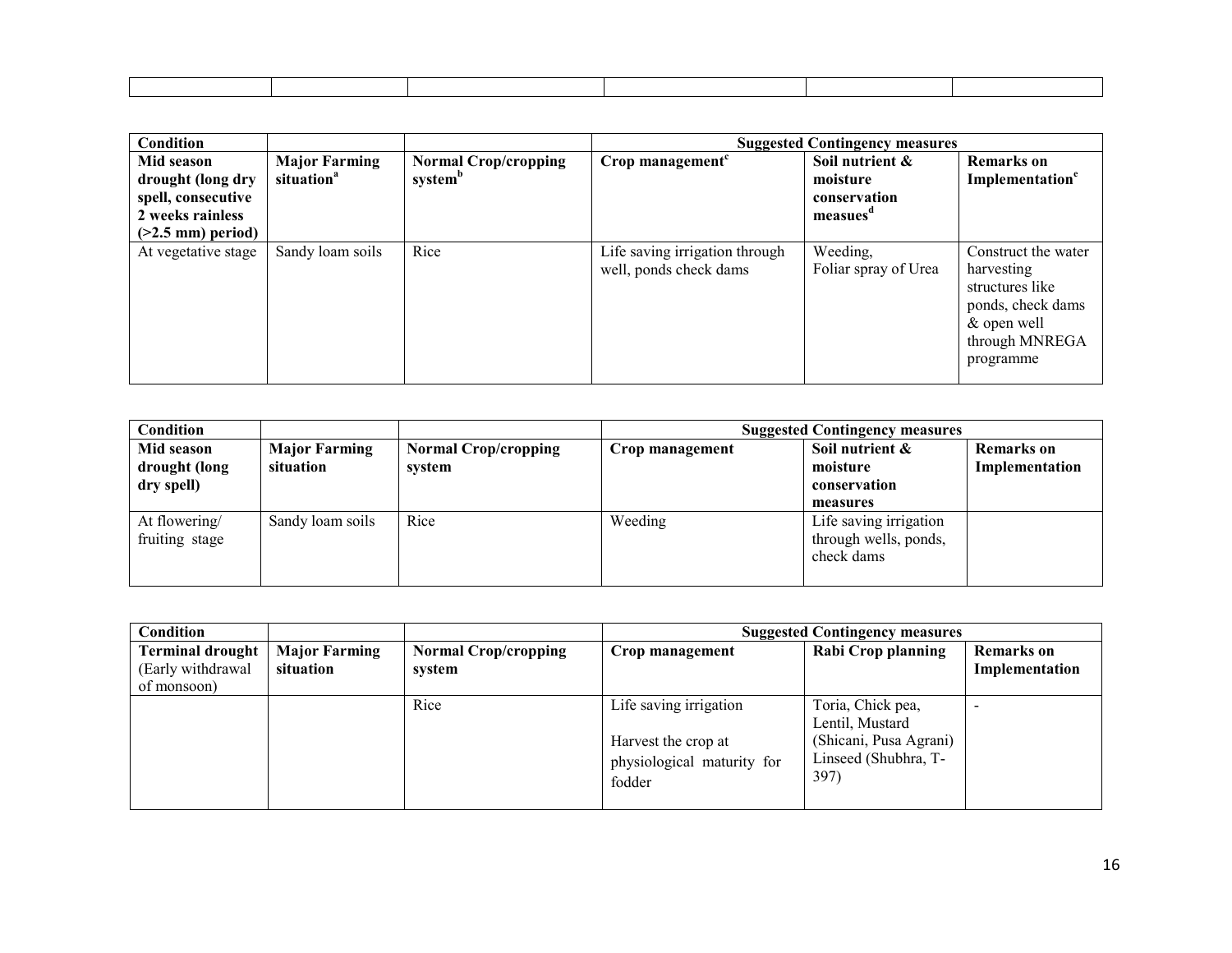| Condition                              |                                                |                                                    |                                                          | <b>Suggested Contingency measures</b> |                                                                                                                         |
|----------------------------------------|------------------------------------------------|----------------------------------------------------|----------------------------------------------------------|---------------------------------------|-------------------------------------------------------------------------------------------------------------------------|
| Mid season<br>drought (long dry        | <b>Major Farming</b><br>situation <sup>a</sup> | <b>Normal Crop/cropping</b><br>system <sup>b</sup> | Crop management <sup>c</sup>                             | Soil nutrient &<br>moisture           | <b>Remarks</b> on<br>Implementation <sup>e</sup>                                                                        |
| spell, consecutive<br>2 weeks rainless |                                                |                                                    |                                                          | conservation<br>measues <sup>d</sup>  |                                                                                                                         |
| $(>2.5$ mm) period)                    |                                                |                                                    |                                                          |                                       |                                                                                                                         |
| At vegetative stage                    | Sandy loam soils                               | Rice                                               | Life saving irrigation through<br>well, ponds check dams | Weeding,<br>Foliar spray of Urea      | Construct the water<br>harvesting<br>structures like<br>ponds, check dams<br>& open well<br>through MNREGA<br>programme |

| Condition      |                      |                             | <b>Suggested Contingency measures</b> |                        |                |
|----------------|----------------------|-----------------------------|---------------------------------------|------------------------|----------------|
| Mid season     | <b>Major Farming</b> | <b>Normal Crop/cropping</b> | Crop management                       | Soil nutrient &        | Remarks on     |
| drought (long  | situation            | system                      |                                       | moisture               | Implementation |
| dry spell)     |                      |                             |                                       | conservation           |                |
|                |                      |                             |                                       | measures               |                |
| At flowering/  | Sandy loam soils     | Rice                        | Weeding                               | Life saving irrigation |                |
| fruiting stage |                      |                             |                                       | through wells, ponds,  |                |
|                |                      |                             |                                       | check dams             |                |
|                |                      |                             |                                       |                        |                |

| <b>Condition</b>                                            |                                   |                                       | <b>Suggested Contingency measures</b>                                                 |                                                                                                |                                     |
|-------------------------------------------------------------|-----------------------------------|---------------------------------------|---------------------------------------------------------------------------------------|------------------------------------------------------------------------------------------------|-------------------------------------|
| <b>Terminal drought</b><br>(Early withdrawal<br>of monsoon) | <b>Major Farming</b><br>situation | <b>Normal Crop/cropping</b><br>system | Crop management                                                                       | Rabi Crop planning                                                                             | <b>Remarks</b> on<br>Implementation |
|                                                             |                                   | Rice                                  | Life saving irrigation<br>Harvest the crop at<br>physiological maturity for<br>fodder | Toria, Chick pea,<br>Lentil, Mustard<br>(Shicani, Pusa Agrani)<br>Linseed (Shubhra, T-<br>397) |                                     |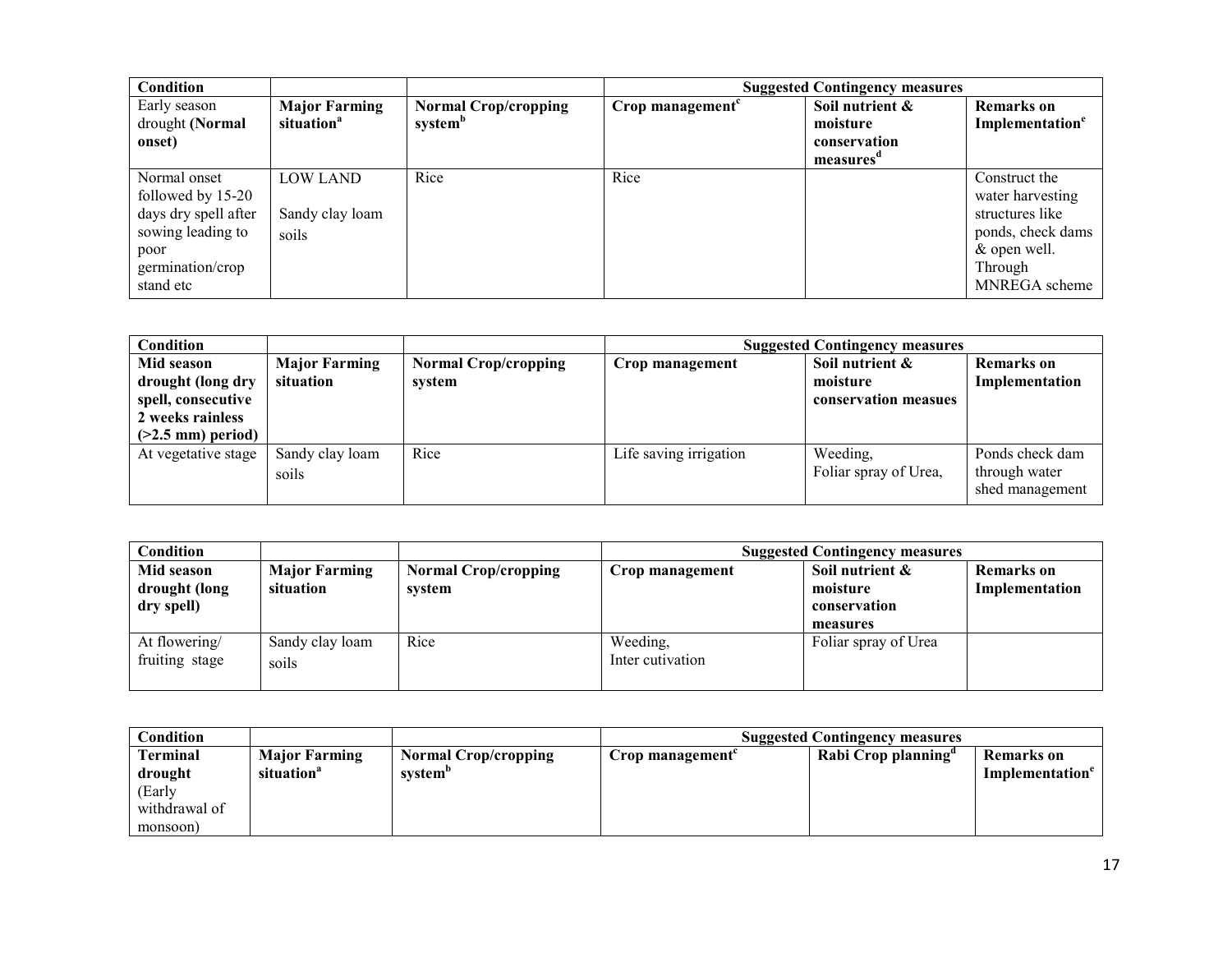| Condition            |                        |                             |                              | <b>Suggested Contingency measures</b> |                             |
|----------------------|------------------------|-----------------------------|------------------------------|---------------------------------------|-----------------------------|
| Early season         | <b>Major Farming</b>   | <b>Normal Crop/cropping</b> | Crop management <sup>c</sup> | Soil nutrient &                       | <b>Remarks</b> on           |
| drought (Normal      | situation <sup>a</sup> | system <sup>b</sup>         |                              | moisture                              | Implementation <sup>e</sup> |
| onset)               |                        |                             |                              | conservation                          |                             |
|                      |                        |                             |                              | measures                              |                             |
| Normal onset         | LOW LAND               | Rice                        | Rice                         |                                       | Construct the               |
| followed by 15-20    |                        |                             |                              |                                       | water harvesting            |
| days dry spell after | Sandy clay loam        |                             |                              |                                       | structures like             |
| sowing leading to    | soils                  |                             |                              |                                       | ponds, check dams           |
| poor                 |                        |                             |                              |                                       | & open well.                |
| germination/crop     |                        |                             |                              |                                       | Through                     |
| stand etc            |                        |                             |                              |                                       | MNREGA scheme               |

| <b>Condition</b>                                                                                  |                                   |                                       |                        | <b>Suggested Contingency measures</b>               |                                                     |
|---------------------------------------------------------------------------------------------------|-----------------------------------|---------------------------------------|------------------------|-----------------------------------------------------|-----------------------------------------------------|
| Mid season<br>drought (long dry<br>spell, consecutive<br>2 weeks rainless<br>$($ >2.5 mm) period) | <b>Major Farming</b><br>situation | <b>Normal Crop/cropping</b><br>system | Crop management        | Soil nutrient &<br>moisture<br>conservation measues | <b>Remarks</b> on<br>Implementation                 |
| At vegetative stage                                                                               | Sandy clay loam<br>soils          | Rice                                  | Life saving irrigation | Weeding,<br>Foliar spray of Urea,                   | Ponds check dam<br>through water<br>shed management |

| <b>Condition</b>                          |                                   |                                       | <b>Suggested Contingency measures</b> |                                                         |                                     |
|-------------------------------------------|-----------------------------------|---------------------------------------|---------------------------------------|---------------------------------------------------------|-------------------------------------|
| Mid season<br>drought (long<br>dry spell) | <b>Major Farming</b><br>situation | <b>Normal Crop/cropping</b><br>system | Crop management                       | Soil nutrient &<br>moisture<br>conservation<br>measures | <b>Remarks</b> on<br>Implementation |
| At flowering/<br>fruiting stage           | Sandy clay loam<br>soils          | Rice                                  | Weeding,<br>Inter cutivation          | Foliar spray of Urea                                    |                                     |

| Condition     |                        |                             |                              | <b>Suggested Contingency measures</b> |                             |
|---------------|------------------------|-----------------------------|------------------------------|---------------------------------------|-----------------------------|
| Terminal      | <b>Major Farming</b>   | <b>Normal Crop/cropping</b> | Crop management <sup>-</sup> | Rabi Crop planning <sup>a</sup>       | <b>Remarks</b> on           |
| drought       | situation <sup>a</sup> | system"                     |                              |                                       | Implementation <sup>e</sup> |
| (Early        |                        |                             |                              |                                       |                             |
| withdrawal of |                        |                             |                              |                                       |                             |
| monsoon)      |                        |                             |                              |                                       |                             |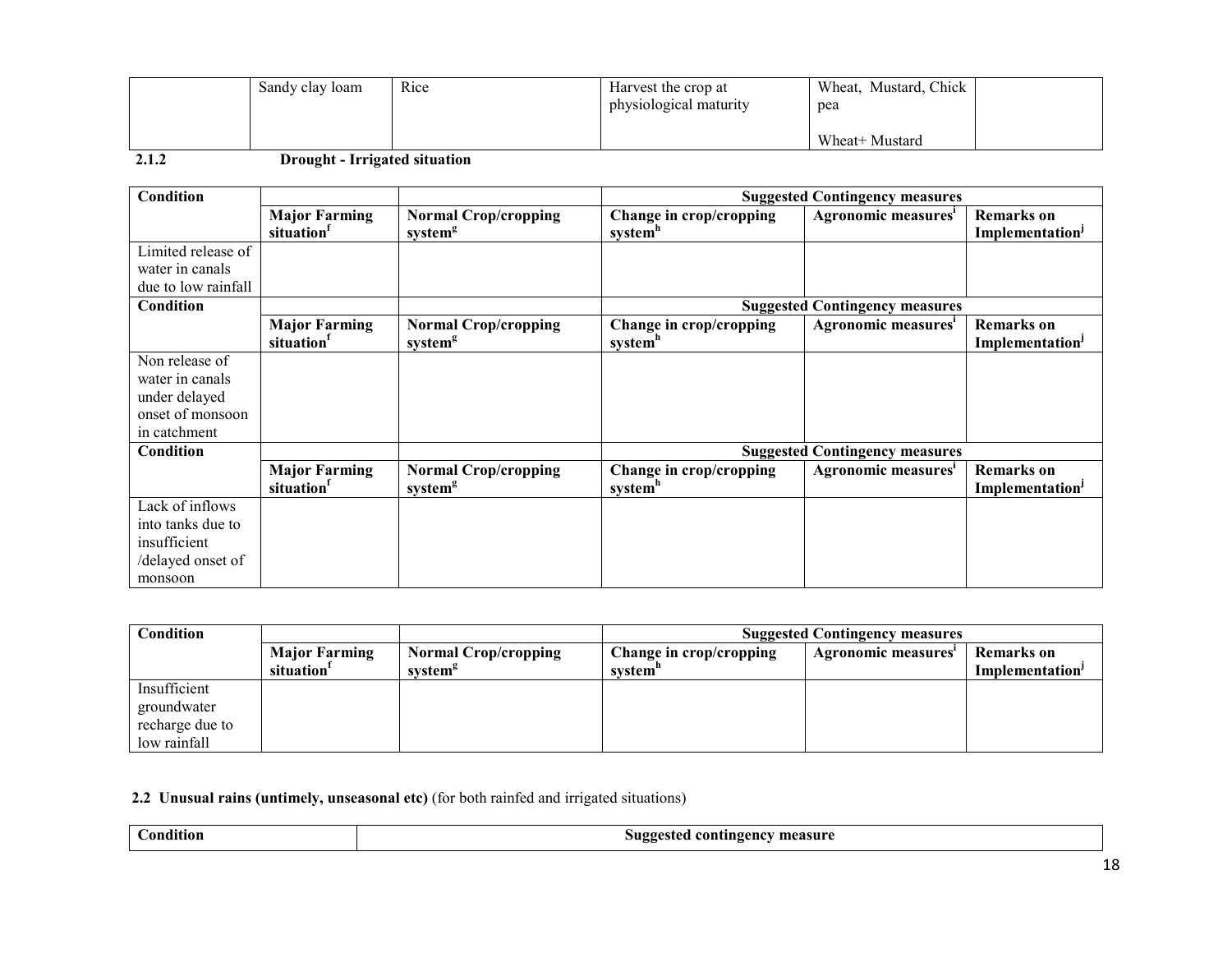| Sandy clay loam | Rice | Harvest the crop at<br>physiological maturity | Wheat, Mustard, Chick<br>pea |
|-----------------|------|-----------------------------------------------|------------------------------|
|                 |      |                                               | Wheat+ Mustard               |

2.1.2 Drought - Irrigated situation

| Condition           |                                   |                                                    |                                                | <b>Suggested Contingency measures</b> |                                                  |
|---------------------|-----------------------------------|----------------------------------------------------|------------------------------------------------|---------------------------------------|--------------------------------------------------|
|                     | <b>Major Farming</b><br>situation | <b>Normal Crop/cropping</b><br>system <sup>g</sup> | Change in crop/cropping<br>system <sup>h</sup> | Agronomic measures <sup>1</sup>       | <b>Remarks</b> on<br>Implementation <sup>J</sup> |
| Limited release of  |                                   |                                                    |                                                |                                       |                                                  |
| water in canals     |                                   |                                                    |                                                |                                       |                                                  |
| due to low rainfall |                                   |                                                    |                                                |                                       |                                                  |
| Condition           |                                   |                                                    |                                                | <b>Suggested Contingency measures</b> |                                                  |
|                     | <b>Major Farming</b><br>situation | <b>Normal Crop/cropping</b><br>system <sup>g</sup> | Change in crop/cropping<br>systemh             | Agronomic measures'                   | <b>Remarks</b> on<br>Implementation <sup>J</sup> |
| Non release of      |                                   |                                                    |                                                |                                       |                                                  |
| water in canals     |                                   |                                                    |                                                |                                       |                                                  |
| under delayed       |                                   |                                                    |                                                |                                       |                                                  |
| onset of monsoon    |                                   |                                                    |                                                |                                       |                                                  |
| in catchment        |                                   |                                                    |                                                |                                       |                                                  |
| Condition           |                                   |                                                    |                                                | <b>Suggested Contingency measures</b> |                                                  |
|                     | <b>Major Farming</b><br>situation | <b>Normal Crop/cropping</b><br>system <sup>g</sup> | Change in crop/cropping<br>system <sup>h</sup> | Agronomic measures'                   | <b>Remarks</b> on<br>Implementation <sup>J</sup> |
| Lack of inflows     |                                   |                                                    |                                                |                                       |                                                  |
| into tanks due to   |                                   |                                                    |                                                |                                       |                                                  |
| insufficient        |                                   |                                                    |                                                |                                       |                                                  |
| /delayed onset of   |                                   |                                                    |                                                |                                       |                                                  |
| monsoon             |                                   |                                                    |                                                |                                       |                                                  |

| <b>Condition</b> |                        |                             | <b>Suggested Contingency measures</b> |                     |                             |
|------------------|------------------------|-----------------------------|---------------------------------------|---------------------|-----------------------------|
|                  | <b>Major Farming</b>   | <b>Normal Crop/cropping</b> | Change in crop/cropping               | Agronomic measures' | <b>Remarks</b> on           |
|                  | situation <sup>1</sup> | system <sup>g</sup>         | system"                               |                     | Implementation <sup>J</sup> |
| Insufficient     |                        |                             |                                       |                     |                             |
| groundwater      |                        |                             |                                       |                     |                             |
| recharge due to  |                        |                             |                                       |                     |                             |
| low rainfall     |                        |                             |                                       |                     |                             |

2.2 Unusual rains (untimely, unseasonal etc) (for both rainfed and irrigated situations)

| andu<br>tıor<br>. | ™ measure<br>51199<br>80 A<br>.angency<br>con |
|-------------------|-----------------------------------------------|
|-------------------|-----------------------------------------------|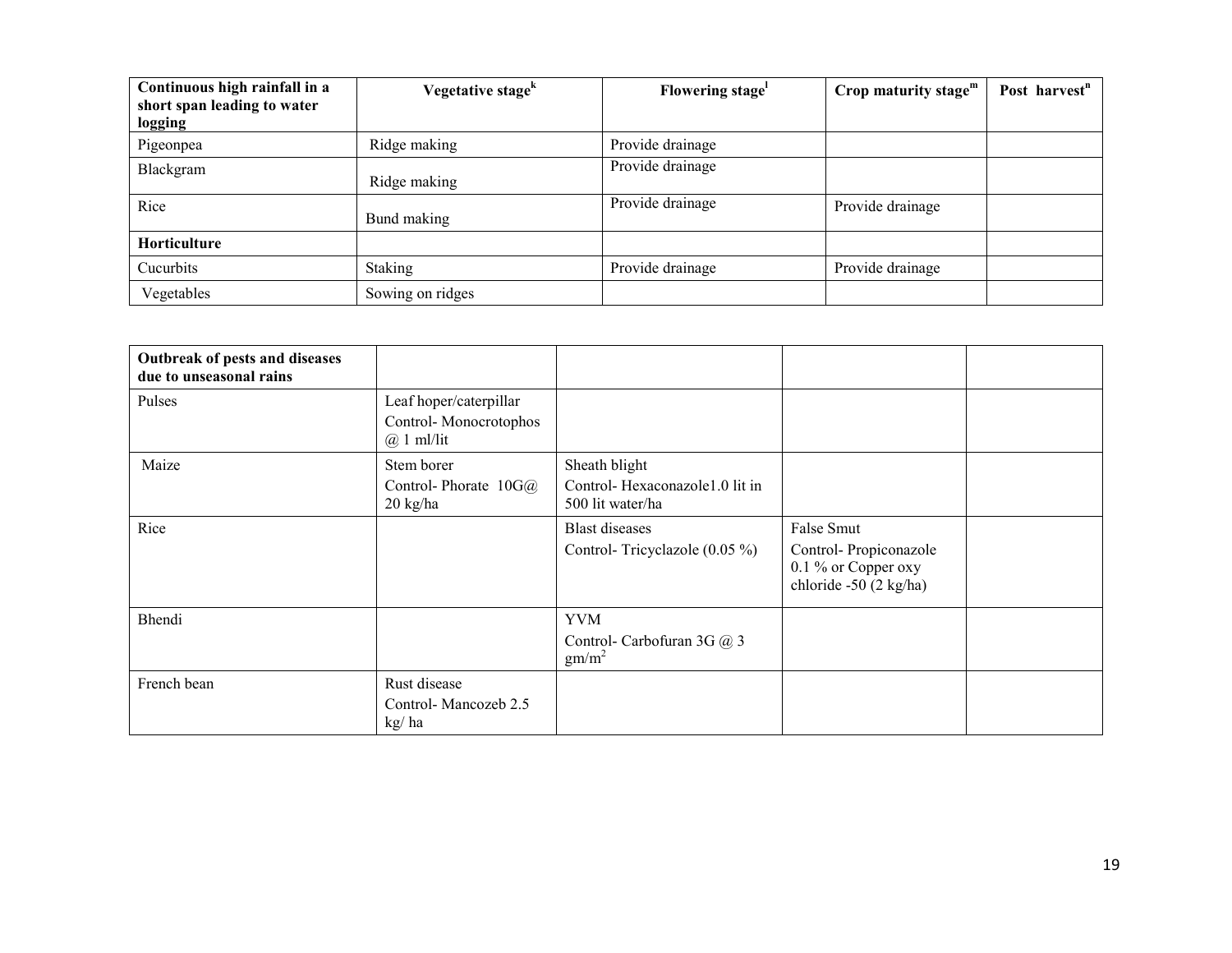| Continuous high rainfall in a<br>short span leading to water<br>logging | Vegetative stage <sup>k</sup> | Flowering stage <sup>1</sup> | Crop maturity stage $m$ | Post harvest <sup>n</sup> |
|-------------------------------------------------------------------------|-------------------------------|------------------------------|-------------------------|---------------------------|
| Pigeonpea                                                               | Ridge making                  | Provide drainage             |                         |                           |
| Blackgram                                                               | Ridge making                  | Provide drainage             |                         |                           |
| Rice                                                                    | Bund making                   | Provide drainage             | Provide drainage        |                           |
| Horticulture                                                            |                               |                              |                         |                           |
| Cucurbits                                                               | <b>Staking</b>                | Provide drainage             | Provide drainage        |                           |
| Vegetables                                                              | Sowing on ridges              |                              |                         |                           |

| Outbreak of pests and diseases<br>due to unseasonal rains |                                                                |                                                                     |                                                                                      |  |
|-----------------------------------------------------------|----------------------------------------------------------------|---------------------------------------------------------------------|--------------------------------------------------------------------------------------|--|
| Pulses                                                    | Leaf hoper/caterpillar<br>Control-Monocrotophos<br>$@1$ ml/lit |                                                                     |                                                                                      |  |
| Maize                                                     | Stem borer<br>Control-Phorate $10G\omega$<br>$20$ kg/ha        | Sheath blight<br>Control-Hexaconazole1.0 lit in<br>500 lit water/ha |                                                                                      |  |
| Rice                                                      |                                                                | <b>Blast</b> diseases<br>Control-Tricyclazole $(0.05\%)$            | False Smut<br>Control-Propiconazole<br>0.1 % or Copper oxy<br>chloride -50 (2 kg/ha) |  |
| Bhendi                                                    |                                                                | <b>YVM</b><br>Control- Carbofuran 3G @ 3<br>gm/m <sup>2</sup>       |                                                                                      |  |
| French bean                                               | Rust disease<br>Control-Mancozeb 2.5<br>kg/ha                  |                                                                     |                                                                                      |  |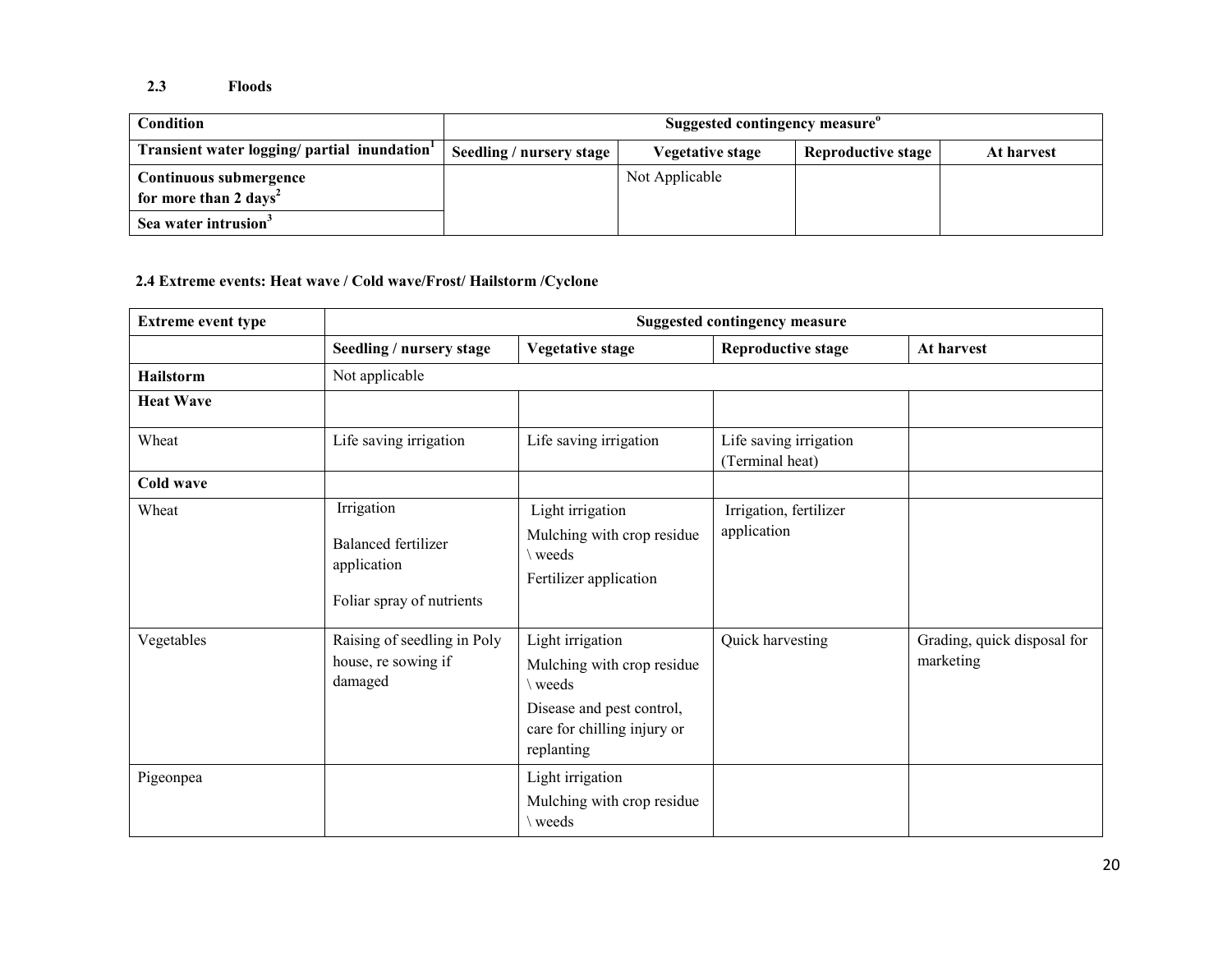# 2.3 Floods

| <b>Condition</b>                                            | Suggested contingency measure <sup>o</sup> |                  |                    |            |  |
|-------------------------------------------------------------|--------------------------------------------|------------------|--------------------|------------|--|
| Transient water logging/ partial inundation                 | Seedling / nursery stage                   | Vegetative stage | Reproductive stage | At harvest |  |
| Continuous submergence<br>for more than 2 days <sup>2</sup> |                                            | Not Applicable   |                    |            |  |
| Sea water intrusion <sup>3</sup>                            |                                            |                  |                    |            |  |

# 2.4 Extreme events: Heat wave / Cold wave/Frost/ Hailstorm /Cyclone

| <b>Extreme event type</b> | <b>Suggested contingency measure</b>                                                 |                                                                                                                                   |                                           |                                          |  |
|---------------------------|--------------------------------------------------------------------------------------|-----------------------------------------------------------------------------------------------------------------------------------|-------------------------------------------|------------------------------------------|--|
|                           | Seedling / nursery stage                                                             | <b>Vegetative stage</b>                                                                                                           | <b>Reproductive stage</b>                 | At harvest                               |  |
| <b>Hailstorm</b>          | Not applicable                                                                       |                                                                                                                                   |                                           |                                          |  |
| <b>Heat Wave</b>          |                                                                                      |                                                                                                                                   |                                           |                                          |  |
| Wheat                     | Life saving irrigation                                                               | Life saving irrigation                                                                                                            | Life saving irrigation<br>(Terminal heat) |                                          |  |
| Cold wave                 |                                                                                      |                                                                                                                                   |                                           |                                          |  |
| Wheat                     | Irrigation<br><b>Balanced</b> fertilizer<br>application<br>Foliar spray of nutrients | Light irrigation<br>Mulching with crop residue<br>\ weeds<br>Fertilizer application                                               | Irrigation, fertilizer<br>application     |                                          |  |
| Vegetables                | Raising of seedling in Poly<br>house, re sowing if<br>damaged                        | Light irrigation<br>Mulching with crop residue<br>weeds<br>Disease and pest control,<br>care for chilling injury or<br>replanting | Quick harvesting                          | Grading, quick disposal for<br>marketing |  |
| Pigeonpea                 |                                                                                      | Light irrigation<br>Mulching with crop residue<br>\ weeds                                                                         |                                           |                                          |  |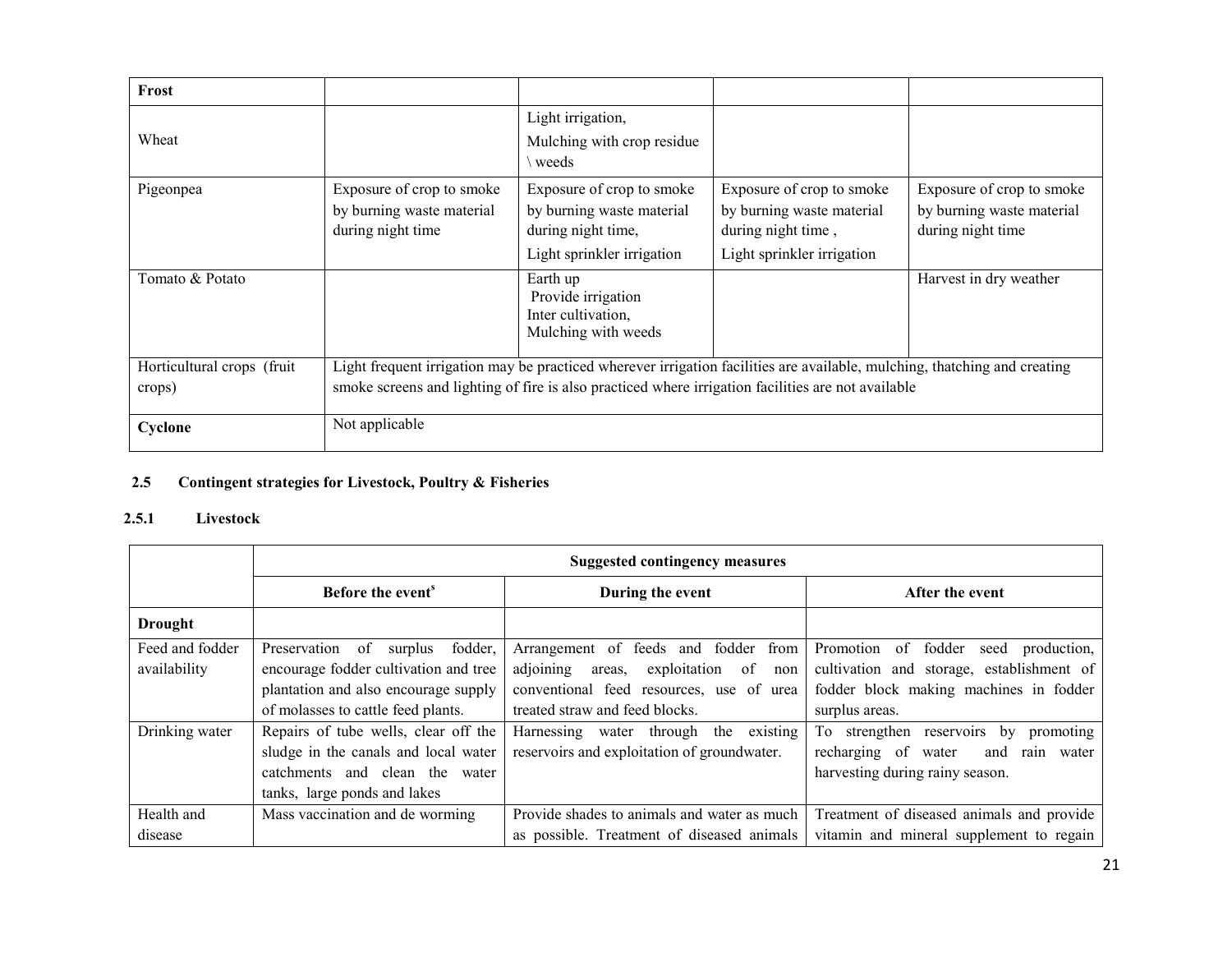| Frost                                |                                                                                                                                                                                                                                 |                                                                                                            |                                                                                                            |                                                                             |  |
|--------------------------------------|---------------------------------------------------------------------------------------------------------------------------------------------------------------------------------------------------------------------------------|------------------------------------------------------------------------------------------------------------|------------------------------------------------------------------------------------------------------------|-----------------------------------------------------------------------------|--|
| Wheat                                |                                                                                                                                                                                                                                 | Light irrigation,<br>Mulching with crop residue<br>weeds                                                   |                                                                                                            |                                                                             |  |
| Pigeonpea                            | Exposure of crop to smoke<br>by burning waste material<br>during night time                                                                                                                                                     | Exposure of crop to smoke<br>by burning waste material<br>during night time,<br>Light sprinkler irrigation | Exposure of crop to smoke<br>by burning waste material<br>during night time,<br>Light sprinkler irrigation | Exposure of crop to smoke<br>by burning waste material<br>during night time |  |
| Tomato & Potato                      |                                                                                                                                                                                                                                 | Earth up<br>Provide irrigation<br>Inter cultivation,<br>Mulching with weeds                                |                                                                                                            | Harvest in dry weather                                                      |  |
| Horticultural crops (fruit<br>crops) | Light frequent irrigation may be practiced wherever irrigation facilities are available, mulching, thatching and creating<br>smoke screens and lighting of fire is also practiced where irrigation facilities are not available |                                                                                                            |                                                                                                            |                                                                             |  |
| Cyclone                              | Not applicable                                                                                                                                                                                                                  |                                                                                                            |                                                                                                            |                                                                             |  |

#### 2.5 Contingent strategies for Livestock, Poultry & Fisheries

#### 2.5.1 Livestock

|                 | <b>Suggested contingency measures</b>    |                                                  |                                                  |  |  |
|-----------------|------------------------------------------|--------------------------------------------------|--------------------------------------------------|--|--|
|                 | Before the event <sup>s</sup>            | During the event                                 | After the event                                  |  |  |
| <b>Drought</b>  |                                          |                                                  |                                                  |  |  |
| Feed and fodder | fodder,<br>of<br>Preservation<br>surplus | Arrangement of feeds and fodder from             | Promotion<br>fodder<br>production.<br>seed<br>of |  |  |
| availability    | encourage fodder cultivation and tree    | adjoining<br>exploitation<br>of<br>areas,<br>non | cultivation and storage, establishment of        |  |  |
|                 | plantation and also encourage supply     | conventional feed resources, use of urea         | fodder block making machines in fodder           |  |  |
|                 | of molasses to cattle feed plants.       | treated straw and feed blocks.                   | surplus areas.                                   |  |  |
| Drinking water  | Repairs of tube wells, clear off the     | Harnessing water through the existing            | To strengthen reservoirs<br>promoting<br>by      |  |  |
|                 | sludge in the canals and local water     | reservoirs and exploitation of groundwater.      | recharging of water<br>and<br>rain water         |  |  |
|                 | catchments and clean the water           |                                                  | harvesting during rainy season.                  |  |  |
|                 | tanks, large ponds and lakes             |                                                  |                                                  |  |  |
| Health and      | Mass vaccination and de worming          | Provide shades to animals and water as much      | Treatment of diseased animals and provide        |  |  |
| disease         |                                          | as possible. Treatment of diseased animals       | vitamin and mineral supplement to regain         |  |  |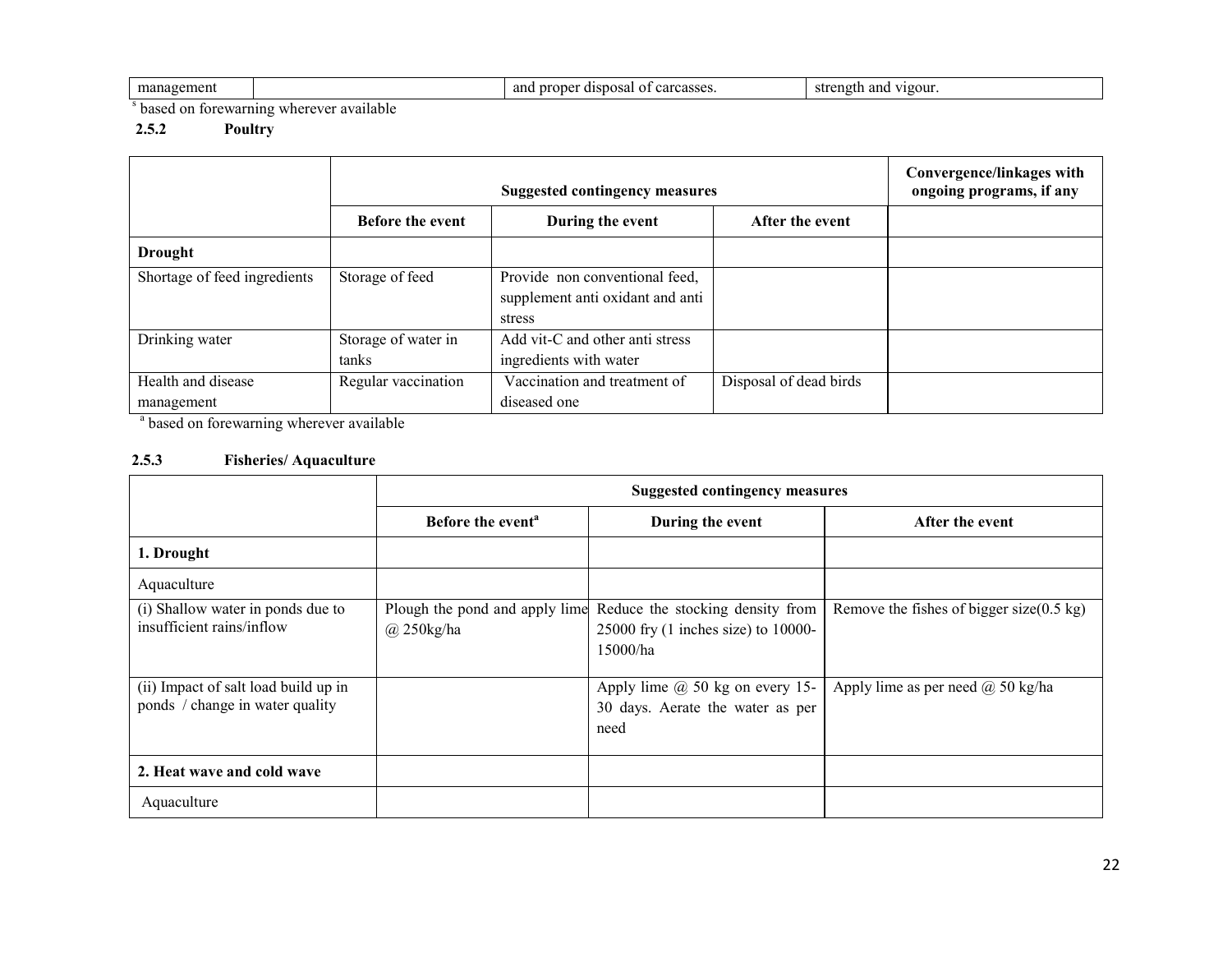| ma<br>inage<br>ut | ano<br>nrone<br>ogra<br>qıspç<br>$\sim$<br>c.<br>''' Cassu<br>` | vigour<br>ano<br>ctı<br>aoth. |
|-------------------|-----------------------------------------------------------------|-------------------------------|
|                   |                                                                 |                               |

s based on forewarning wherever available

2.5.2 Poultry

|                                  | <b>Suggested contingency measures</b> |                                                                              |                        | Convergence/linkages with<br>ongoing programs, if any |
|----------------------------------|---------------------------------------|------------------------------------------------------------------------------|------------------------|-------------------------------------------------------|
|                                  | <b>Before the event</b>               | During the event                                                             | After the event        |                                                       |
| <b>Drought</b>                   |                                       |                                                                              |                        |                                                       |
| Shortage of feed ingredients     | Storage of feed                       | Provide non conventional feed,<br>supplement anti oxidant and anti<br>stress |                        |                                                       |
| Drinking water                   | Storage of water in<br>tanks          | Add vit-C and other anti stress<br>ingredients with water                    |                        |                                                       |
| Health and disease<br>management | Regular vaccination                   | Vaccination and treatment of<br>diseased one                                 | Disposal of dead birds |                                                       |

<sup>a</sup> based on forewarning wherever available

#### 2.5.3 Fisheries/ Aquaculture

|                                                                         | <b>Suggested contingency measures</b> |                                                                                                                      |                                                     |  |  |
|-------------------------------------------------------------------------|---------------------------------------|----------------------------------------------------------------------------------------------------------------------|-----------------------------------------------------|--|--|
|                                                                         | Before the event <sup>a</sup>         | During the event                                                                                                     | After the event                                     |  |  |
| 1. Drought                                                              |                                       |                                                                                                                      |                                                     |  |  |
| Aquaculture                                                             |                                       |                                                                                                                      |                                                     |  |  |
| (i) Shallow water in ponds due to<br>insufficient rains/inflow          | $(a)$ 250kg/ha                        | Plough the pond and apply lime Reduce the stocking density from<br>$25000$ fry (1 inches size) to 10000-<br>15000/ha | Remove the fishes of bigger size $(0.5 \text{ kg})$ |  |  |
| (ii) Impact of salt load build up in<br>ponds / change in water quality |                                       | Apply lime $@$ 50 kg on every 15-<br>30 days. Aerate the water as per<br>need                                        | Apply lime as per need $(a)$ 50 kg/ha               |  |  |
| 2. Heat wave and cold wave                                              |                                       |                                                                                                                      |                                                     |  |  |
| Aquaculture                                                             |                                       |                                                                                                                      |                                                     |  |  |